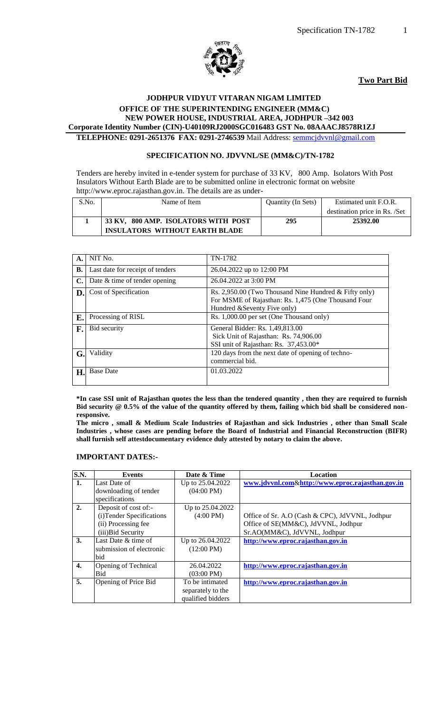

#### **Two Part Bid**

#### **JODHPUR VIDYUT VITARAN NIGAM LIMITED OFFICE OF THE SUPERINTENDING ENGINEER (MM&C) NEW POWER HOUSE, INDUSTRIAL AREA, JODHPUR –342 003 Corporate Identity Number (CIN)-U40109RJ2000SGC016483 GST No. 08AAACJ8578R1ZJ TELEPHONE: 0291-2651376 FAX: 0291-2746539** Mail Address: [semmcjdvvnl@gmail.com](mailto:semmcjdvvnl@gmail.com)

#### **SPECIFICATION NO. JDVVNL/SE (MM&C)/TN-1782**

Tenders are hereby invited in e-tender system for purchase of 33 KV, 800 Amp. Isolators With Post Insulators Without Earth Blade are to be submitted online in electronic format on website http://www.eproc.rajasthan.gov.in. The details are as under-

| S.No. | Name of Item                          | Quantity (In Sets) | Estimated unit F.O.R.         |
|-------|---------------------------------------|--------------------|-------------------------------|
|       |                                       |                    | destination price in Rs. /Set |
|       | 33 KV, 800 AMP. ISOLATORS WITH POST   | 295                | 25392.00                      |
|       | <b>INSULATORS WITHOUT EARTH BLADE</b> |                    |                               |

| А. | NIT No.                          | TN-1782                                                                                                                                       |
|----|----------------------------------|-----------------------------------------------------------------------------------------------------------------------------------------------|
| В. | Last date for receipt of tenders | 26.04.2022 up to 12:00 PM                                                                                                                     |
| C. | Date & time of tender opening    | 26.04.2022 at 3:00 PM                                                                                                                         |
| D. | Cost of Specification            | Rs. 2,950.00 (Two Thousand Nine Hundred $&$ Fifty only)<br>For MSME of Rajasthan: Rs. 1,475 (One Thousand Four<br>Hundred &Seventy Five only) |
| E. | Processing of RISL               | Rs. 1,000.00 per set (One Thousand only)                                                                                                      |
| F. | Bid security                     | General Bidder: Rs. 1,49,813.00<br>Sick Unit of Rajasthan: Rs. 74,906.00<br>SSI unit of Rajasthan: Rs. 37,453.00*                             |
| G. | Validity                         | 120 days from the next date of opening of techno-<br>commercial bid.                                                                          |
| Н. | <b>Base Date</b>                 | 01.03.2022                                                                                                                                    |

**\*In case SSI unit of Rajasthan quotes the less than the tendered quantity , then they are required to furnish Bid security @ 0.5% of the value of the quantity offered by them, failing which bid shall be considered nonresponsive.**

**The micro , small & Medium Scale Industries of Rajasthan and sick Industries , other than Small Scale Industries , whose cases are pending before the Board of Industrial and Financial Reconstruction (BIFR) shall furnish self attestdocumentary evidence duly attested by notary to claim the above.**

#### **IMPORTANT DATES:-**

| <b>S.N.</b> | <b>Events</b>             | Date & Time          | <b>Location</b>                                  |
|-------------|---------------------------|----------------------|--------------------------------------------------|
| 1.          | Last Date of              | Up to 25.04.2022     | www.jdvvnl.com&http://www.eproc.rajasthan.gov.in |
|             | downloading of tender     | $(04:00 \text{ PM})$ |                                                  |
|             | specifications            |                      |                                                  |
| 2.          | Deposit of cost of:-      | Up to 25.04.2022     |                                                  |
|             | (i) Tender Specifications | $(4:00 \text{ PM})$  | Office of Sr. A.O (Cash & CPC), JdVVNL, Jodhpur  |
|             | (ii) Processing fee       |                      | Office of SE(MM&C), JdVVNL, Jodhpur              |
|             | (iii) Bid Security        |                      | Sr.AO(MM&C), JdVVNL, Jodhpur                     |
| 3.          | Last Date & time of       | Up to 26.04.2022     | http://www.eproc.rajasthan.gov.in                |
|             | submission of electronic  | $(12:00 \text{ PM})$ |                                                  |
|             | bid                       |                      |                                                  |
| 4.          | Opening of Technical      | 26.04.2022           | http://www.eproc.rajasthan.gov.in                |
|             | Bid                       | $(03:00 \text{ PM})$ |                                                  |
| 5.          | Opening of Price Bid      | To be intimated      | http://www.eproc.rajasthan.gov.in                |
|             |                           | separately to the    |                                                  |
|             |                           | qualified bidders    |                                                  |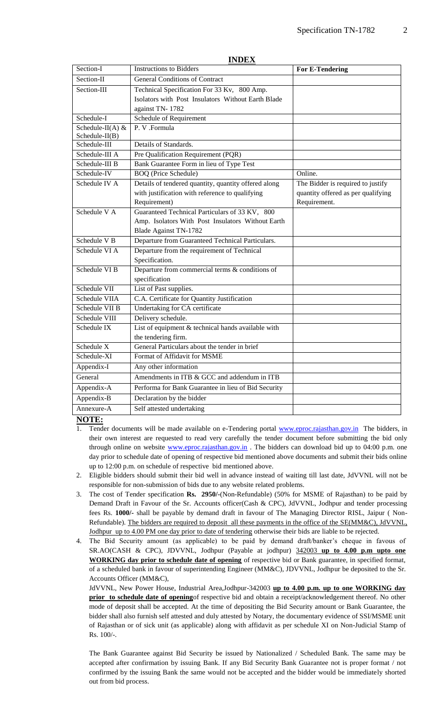|                                        | INDEA                                                |                                    |
|----------------------------------------|------------------------------------------------------|------------------------------------|
| Section-I                              | <b>Instructions to Bidders</b>                       | <b>For E-Tendering</b>             |
| Section-II                             | <b>General Conditions of Contract</b>                |                                    |
| Section-III                            | Technical Specification For 33 Kv, 800 Amp.          |                                    |
|                                        | Isolators with Post Insulators Without Earth Blade   |                                    |
|                                        | against TN-1782                                      |                                    |
| Schedule-I                             | Schedule of Requirement                              |                                    |
| Schedule-II(A) $&$<br>$Schedule-II(B)$ | P. V .Formula                                        |                                    |
| Schedule-III                           | Details of Standards.                                |                                    |
| Schedule-III A                         | Pre Qualification Requirement (PQR)                  |                                    |
| Schedule-III B                         | Bank Guarantee Form in lieu of Type Test             |                                    |
| Schedule-IV                            | <b>BOQ</b> (Price Schedule)                          | Online.                            |
| Schedule IV A                          | Details of tendered quantity, quantity offered along | The Bidder is required to justify  |
|                                        | with justification with reference to qualifying      | quantity offered as per qualifying |
|                                        | Requirement)                                         | Requirement.                       |
| Schedule VA                            | Guaranteed Technical Particulars of 33 KV, 800       |                                    |
|                                        | Amp. Isolators With Post Insulators Without Earth    |                                    |
|                                        | <b>Blade Against TN-1782</b>                         |                                    |
| Schedule V B                           | Departure from Guaranteed Technical Particulars.     |                                    |
| Schedule VI A                          | Departure from the requirement of Technical          |                                    |
|                                        | Specification.                                       |                                    |
| Schedule VI B                          | Departure from commercial terms & conditions of      |                                    |
|                                        | specification                                        |                                    |
| Schedule VII                           | List of Past supplies.                               |                                    |
| Schedule VIIA                          | C.A. Certificate for Quantity Justification          |                                    |
| Schedule VII B                         | Undertaking for CA certificate                       |                                    |
| Schedule VIII                          | Delivery schedule.                                   |                                    |
| Schedule IX                            | List of equipment & technical hands available with   |                                    |
|                                        | the tendering firm.                                  |                                    |
| Schedule X                             | General Particulars about the tender in brief        |                                    |
| Schedule-XI                            | Format of Affidavit for MSME                         |                                    |
| Appendix-I                             | Any other information                                |                                    |
| General                                | Amendments in ITB & GCC and addendum in ITB          |                                    |
| Appendix-A                             | Performa for Bank Guarantee in lieu of Bid Security  |                                    |
| Appendix-B                             | Declaration by the bidder                            |                                    |
| Annexure-A                             | Self attested undertaking                            |                                    |
|                                        |                                                      |                                    |

#### **INDEX**

#### **NOTE:**

- Tender documents will be made available on e-Tendering portal [www.eproc.rajasthan.gov.in](http://www.eproc.rajasthan.gov.in/) The bidders, in their own interest are requested to read very carefully the tender document before submitting the bid only through online on website [www.eproc.rajasthan.gov.in](http://www.eproc.rajasthan.gov.in/). The bidders can download bid up to 04:00 p.m. one day prior to schedule date of opening of respective bid mentioned above documents and submit their bids online up to 12:00 p.m. on schedule of respective bid mentioned above.
- 2. Eligible bidders should submit their bid well in advance instead of waiting till last date, JdVVNL will not be responsible for non-submission of bids due to any website related problems.
- 3. The cost of Tender specification **Rs. 2950/-**(Non-Refundable) (50% for MSME of Rajasthan) to be paid by Demand Draft in Favour of the Sr. Accounts officer(Cash & CPC), JdVVNL, Jodhpur and tender processing fees Rs. **1000/-** shall be payable by demand draft in favour of The Managing Director RISL, Jaipur ( Non-Refundable). The bidders are required to deposit all these payments in the office of the SE(MM&C), JdVVNL, Jodhpur up to 4.00 PM one day prior to date of tendering otherwise their bids are liable to be rejected.
- 4. The Bid Security amount (as applicable) to be paid by demand draft/banker"s cheque in favous of SR.AO(CASH & CPC), JDVVNL, Jodhpur (Payable at jodhpur) 342003 **up to 4.00 p.m upto one WORKING day prior to schedule date of opening** of respective bid or Bank guarantee, in specified format, of a scheduled bank in favour of superintending Engineer (MM&C), JDVVNL, Jodhpur be deposited to the Sr. Accounts Officer (MM&C),

JdVVNL, New Power House, Industrial Area,Jodhpur-342003 **up to 4.00 p.m. up to one WORKING day prior to schedule date of opening**of respective bid and obtain a receipt/acknowledgement thereof. No other mode of deposit shall be accepted. At the time of depositing the Bid Security amount or Bank Guarantee, the bidder shall also furnish self attested and duly attested by Notary, the documentary evidence of SSI/MSME unit of Rajasthan or of sick unit (as applicable) along with affidavit as per schedule XI on Non-Judicial Stamp of Rs. 100/-.

The Bank Guarantee against Bid Security be issued by Nationalized / Scheduled Bank. The same may be accepted after confirmation by issuing Bank. If any Bid Security Bank Guarantee not is proper format / not confirmed by the issuing Bank the same would not be accepted and the bidder would be immediately shorted out from bid process.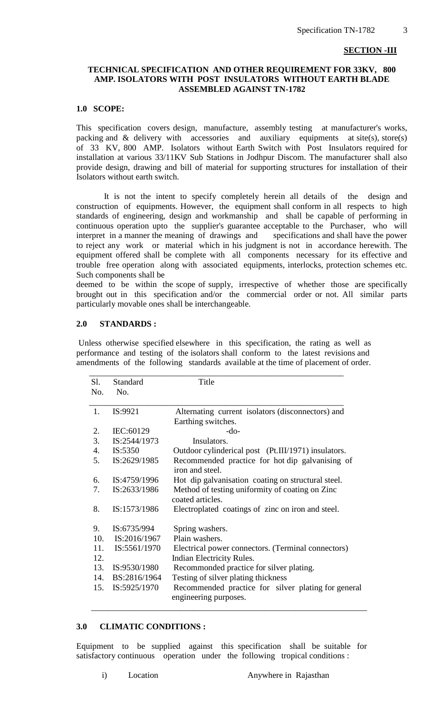#### **SECTION -III**

## **TECHNICAL SPECIFICATION AND OTHER REQUIREMENT FOR 33KV, 800 AMP. ISOLATORS WITH POST INSULATORS WITHOUT EARTH BLADE ASSEMBLED AGAINST TN-1782**

## **1.0 SCOPE:**

This specification covers design, manufacture, assembly testing at manufacturer's works, packing and & delivery with accessories and auxiliary equipments at site(s), store(s) of 33 KV, 800 AMP. Isolators without Earth Switch with Post Insulators required for installation at various 33/11KV Sub Stations in Jodhpur Discom. The manufacturer shall also provide design, drawing and bill of material for supporting structures for installation of their Isolators without earth switch.

 It is not the intent to specify completely herein all details of the design and construction of equipments. However, the equipment shall conform in all respects to high standards of engineering, design and workmanship and shall be capable of performing in continuous operation upto the supplier's guarantee acceptable to the Purchaser, who will interpret in a manner the meaning of drawings and specifications and shall have the power to reject any work or material which in his judgment is not in accordance herewith. The equipment offered shall be complete with all components necessary for its effective and trouble free operation along with associated equipments, interlocks, protection schemes etc. Such components shall be

deemed to be within the scope of supply, irrespective of whether those are specifically brought out in this specification and/or the commercial order or not. All similar parts particularly movable ones shall be interchangeable.

#### **2.0 STANDARDS :**

Unless otherwise specified elsewhere in this specification, the rating as well as performance and testing of the isolators shall conform to the latest revisions and amendments of the following standards available at the time of placement of order.

| Sl.<br>No. | Standard<br>No.    | Title                                                                        |
|------------|--------------------|------------------------------------------------------------------------------|
| 1.         | IS:9921            | Alternating current isolators (disconnectors) and<br>Earthing switches.      |
| 2.         | IEC:60129          | $-do-$                                                                       |
| 3.         | IS:2544/1973       | Insulators.                                                                  |
| 4.         | IS:5350            | Outdoor cylinderical post (Pt.III/1971) insulators.                          |
| 5.         | IS:2629/1985       | Recommended practice for hot dip galvanising of<br>iron and steel.           |
| 6.         | IS:4759/1996       | Hot dip galvanisation coating on structural steel.                           |
| 7.         | IS:2633/1986       | Method of testing uniformity of coating on Zinc<br>coated articles.          |
| 8.         | IS:1573/1986       | Electroplated coatings of zinc on iron and steel.                            |
| 9.         | IS:6735/994        | Spring washers.                                                              |
|            | 10. $IS:2016/1967$ | Plain washers.                                                               |
| 11.        | IS:5561/1970       | Electrical power connectors. (Terminal connectors)                           |
| 12.        |                    | Indian Electricity Rules.                                                    |
|            | 13. IS:9530/1980   | Recommonded practice for silver plating.                                     |
|            | 14. BS:2816/1964   | Testing of silver plating thickness                                          |
| 15.        | IS:5925/1970       | Recommended practice for silver plating for general<br>engineering purposes. |

## **3.0 CLIMATIC CONDITIONS :**

Equipment to be supplied against this specification shall be suitable for satisfactory continuous operation under the following tropical conditions :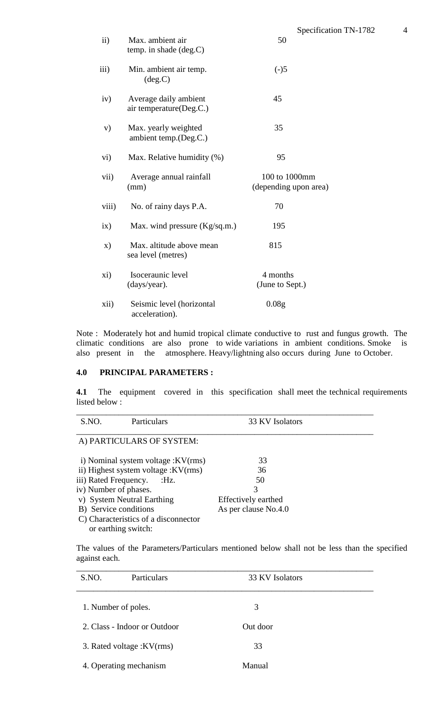| $\mathbf{ii}$ | Max. ambient air<br>temp. in shade $(deg.C)$     | Specification TN-1782<br>50            | 4 |
|---------------|--------------------------------------------------|----------------------------------------|---|
| iii)          | Min. ambient air temp.<br>deg.C)                 | $(-)5$                                 |   |
| iv)           | Average daily ambient<br>air temperature(Deg.C.) | 45                                     |   |
| V)            | Max. yearly weighted<br>ambient temp.(Deg.C.)    | 35                                     |   |
| $\rm vi)$     | Max. Relative humidity (%)                       | 95                                     |   |
| vii)          | Average annual rainfall<br>(mm)                  | 100 to 1000mm<br>(depending upon area) |   |
| viii)         | No. of rainy days P.A.                           | 70                                     |   |
| ix)           | Max. wind pressure (Kg/sq.m.)                    | 195                                    |   |
| $\mathbf{x})$ | Max. altitude above mean<br>sea level (metres)   | 815                                    |   |
|               |                                                  |                                        |   |

xi) Isoceraunic level 4 months<br>(days/year). (June to Se (June to Sept.) xii) Seismic level (horizontal 0.08g acceleration).

Note : Moderately hot and humid tropical climate conductive to rust and fungus growth. The climatic conditions are also prone to wide variations in ambient conditions. Smoke is also present in the atmosphere. Heavy/lightning also occurs during June to October.

## **4.0 PRINCIPAL PARAMETERS :**

**4.1** The equipment covered in this specification shall meet the technical requirements listed below :

| S.NO.<br>Particulars                 | 33 KV Isolators      |  |
|--------------------------------------|----------------------|--|
|                                      |                      |  |
| A) PARTICULARS OF SYSTEM:            |                      |  |
|                                      |                      |  |
| i) Nominal system voltage : KV(rms)  | 33                   |  |
| ii) Highest system voltage : KV(rms) | 36                   |  |
| iii) Rated Frequency.<br>:Hz.        | 50                   |  |
| iv) Number of phases.                | 3                    |  |
| v) System Neutral Earthing           | Effectively earthed  |  |
| B) Service conditions                | As per clause No.4.0 |  |
| C) Characteristics of a disconnector |                      |  |
| or earthing switch:                  |                      |  |

The values of the Parameters/Particulars mentioned below shall not be less than the specified against each.

| S.NO. | Particulars                  | 33 KV Isolators |  |
|-------|------------------------------|-----------------|--|
|       | 1. Number of poles.          | 3               |  |
|       | 2. Class - Indoor or Outdoor | Out door        |  |
|       | 3. Rated voltage : KV(rms)   | 33              |  |
|       | 4. Operating mechanism       | Manual          |  |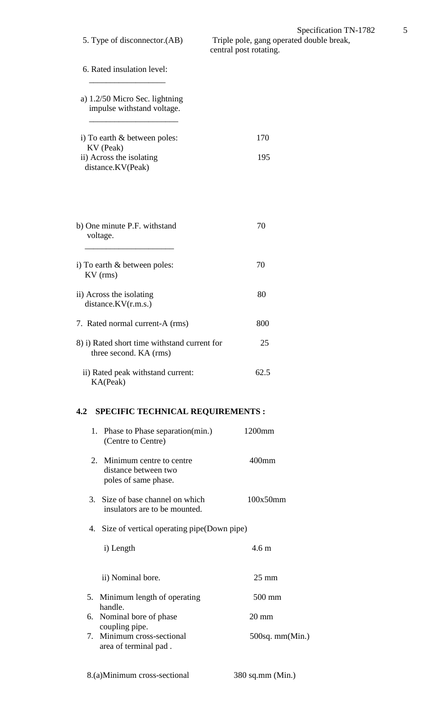6. Rated insulation level:  $\mathcal{L}=\{1,2,3,4,5\}$ 

- a) 1.2/50 Micro Sec. lightning impulse withstand voltage.  $\mathcal{L}=\frac{1}{2}\left\{ \begin{array}{cc} \mathcal{L}_{\mathcal{A}} & \mathcal{L}_{\mathcal{A}} \\ \mathcal{L}_{\mathcal{A}} & \mathcal{L}_{\mathcal{A}} \end{array} \right\}$
- i) To earth & between poles: 170 KV (Peak) ii) Across the isolating 195 distance.KV(Peak)
- b) One minute P.F. withstand 70 voltage.  $\overline{\phantom{a}}$  , we can assume that the contract of  $\overline{\phantom{a}}$ i) To earth & between poles:  $70$  KV (rms) ii) Across the isolating 80 distance.KV(r.m.s.) 7. Rated normal current-A (rms) 800 8) i) Rated short time withstand current for 25 three second. KA (rms)

# ii) Rated peak withstand current: 62.5 KA(Peak)

# **4.2 SPECIFIC TECHNICAL REQUIREMENTS :**

 1. Phase to Phase separation(min.) 1200mm (Centre to Centre) 2. Minimum centre to centre 400mm distance between two poles of same phase. 3. Size of base channel on which 100x50mm insulators are to be mounted. 4. Size of vertical operating pipe(Down pipe) i) Length  $4.6 \text{ m}$  ii) Nominal bore. 25 mm 5. Minimum length of operating 500 mm handle. 6. Nominal bore of phase 20 mm coupling pipe. 7. Minimum cross-sectional 500sq. mm(Min.) area of terminal pad .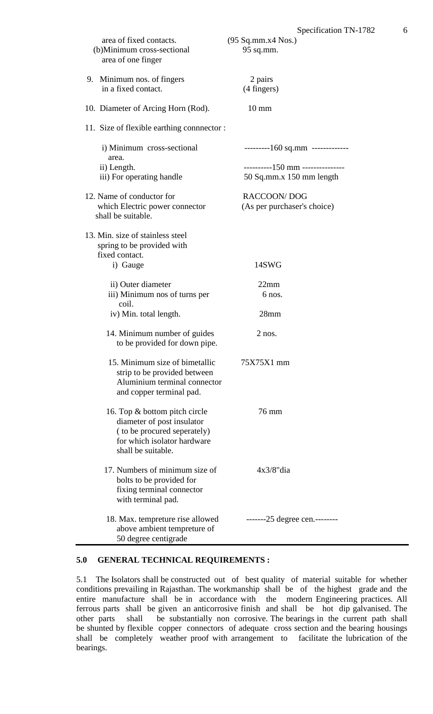| area of fixed contacts.<br>(b)Minimum cross-sectional<br>area of one finger                                                                     | (95 Sq.mm.x4 Nos.)<br>95 sq.mm.  |
|-------------------------------------------------------------------------------------------------------------------------------------------------|----------------------------------|
| 9. Minimum nos. of fingers<br>in a fixed contact.                                                                                               | 2 pairs<br>(4 fingers)           |
| 10. Diameter of Arcing Horn (Rod).                                                                                                              | $10 \text{ mm}$                  |
| 11. Size of flexible earthing connector :                                                                                                       |                                  |
| i) Minimum cross-sectional<br>area.                                                                                                             | ---------160 sq.mm ------------- |
| ii) Length.                                                                                                                                     | ----------150 mm --------------- |
| iii) For operating handle                                                                                                                       | 50 Sq.mm.x 150 mm length         |
| 12. Name of conductor for                                                                                                                       | <b>RACCOON/DOG</b>               |
| which Electric power connector<br>shall be suitable.                                                                                            | (As per purchaser's choice)      |
| 13. Min. size of stainless steel<br>spring to be provided with<br>fixed contact.                                                                |                                  |
| i) Gauge                                                                                                                                        | 14SWG                            |
|                                                                                                                                                 |                                  |
| ii) Outer diameter                                                                                                                              | 22mm                             |
| iii) Minimum nos of turns per<br>coil.                                                                                                          | 6 nos.                           |
| iv) Min. total length.                                                                                                                          | 28mm                             |
| 14. Minimum number of guides<br>to be provided for down pipe.                                                                                   | $2$ nos.                         |
| 15. Minimum size of bimetallic<br>strip to be provided between<br>Aluminium terminal connector<br>and copper terminal pad.                      | 75X75X1 mm                       |
| 16. Top & bottom pitch circle<br>diameter of post insulator<br>(to be procured seperately)<br>for which isolator hardware<br>shall be suitable. | 76 mm                            |
| 17. Numbers of minimum size of<br>bolts to be provided for<br>fixing terminal connector<br>with terminal pad.                                   | $4x3/8"$ dia                     |
| 18. Max. tempreture rise allowed<br>above ambient tempreture of<br>50 degree centigrade                                                         | $---25$ degree cen. $---$        |

## **5.0 GENERAL TECHNICAL REQUIREMENTS :**

5.1 The Isolators shall be constructed out of best quality of material suitable for whether conditions prevailing in Rajasthan. The workmanship shall be of the highest grade and the entire manufacture shall be in accordance with the modern Engineering practices. All ferrous parts shall be given an anticorrosive finish and shall be hot dip galvanised. The other parts shall be substantially non corrosive. The bearings in the current path shall be shunted by flexible copper connectors of adequate cross section and the bearing housings shall be completely weather proof with arrangement to facilitate the lubrication of the bearings.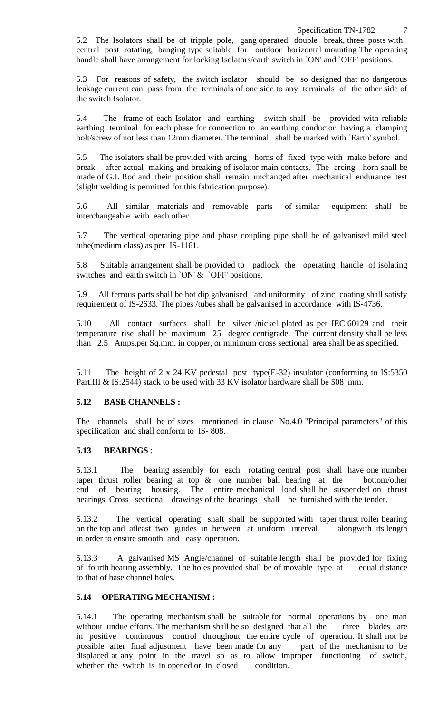5.2 The Isolators shall be of tripple pole, gang operated, double break, three posts with central post rotating, banging type suitable for outdoor horizontal mounting The operating handle shall have arrangement for locking Isolators/earth switch in `ON' and `OFF' positions.

5.3 For reasons of safety, the switch isolator should be so designed that no dangerous leakage current can pass from the terminals of one side to any terminals of the other side of the switch Isolator.

5.4 The frame of each Isolator and earthing switch shall be provided with reliable earthing terminal for each phase for connection to an earthing conductor having a clamping bolt/screw of not less than 12mm diameter. The terminal shall be marked with `Earth' symbol.

5.5 The isolators shall be provided with arcing horns of fixed type with make before and break after actual making and breaking of isolator main contacts. The arcing horn shall be made of G.I. Rod and their position shall remain unchanged after mechanical endurance test (slight welding is permitted for this fabrication purpose).

5.6 All similar materials and removable parts of similar equipment shall be interchangeable with each other.

5.7 The vertical operating pipe and phase coupling pipe shall be of galvanised mild steel tube(medium class) as per IS-1161.

5.8 Suitable arrangement shall be provided to padlock the operating handle of isolating switches and earth switch in `ON' & `OFF' positions.

5.9 All ferrous parts shall be hot dip galvanised and uniformity of zinc coating shall satisfy requirement of IS-2633. The pipes /tubes shall be galvanised in accordance with IS-4736.

5.10 All contact surfaces shall be silver /nickel plated as per IEC:60129 and their temperature rise shall be maximum 25 degree centigrade. The current density shall be less than 2.5 Amps.per Sq.mm. in copper, or minimum cross sectional area shall be as specified.

5.11 The height of 2 x 24 KV pedestal post type(E-32) insulator (conforming to IS:5350 Part.III & IS:2544) stack to be used with 33 KV isolator hardware shall be 508 mm.

## **5.12 BASE CHANNELS :**

The channels shall be of sizes mentioned in clause No.4.0 "Principal parameters" of this specification and shall conform to IS- 808.

## **5.13 BEARINGS** :

5.13.1 The bearing assembly for each rotating central post shall have one number taper thrust roller bearing at top & one number ball bearing at the bottom/other end of bearing housing. The entire mechanical load shall be suspended on thrust bearings. Cross sectional drawings of the bearings shall be furnished with the tender.

5.13.2 The vertical operating shaft shall be supported with taper thrust roller bearing on the top and atleast two guides in between at uniform interval alongwith its length in order to ensure smooth and easy operation.

5.13.3 A galvanised MS Angle/channel of suitable length shall be provided for fixing of fourth bearing assembly. The holes provided shall be of movable type at equal distance to that of base channel holes.

## **5.14 OPERATING MECHANISM :**

5.14.1 The operating mechanism shall be suitable for normal operations by one man without undue efforts. The mechanism shall be so designed that all the three blades are in positive continuous control throughout the entire cycle of operation. It shall not be possible after final adjustment have been made for any part of the mechanism to be displaced at any point in the travel so as to allow improper functioning of switch, whether the switch is in opened or in closed condition.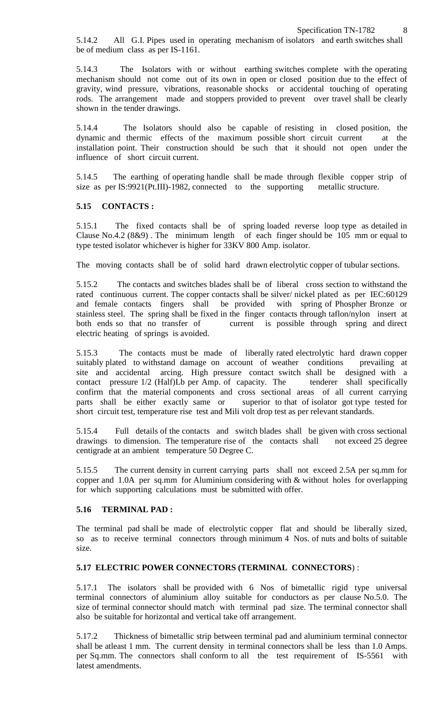5.14.2 All G.I. Pipes used in operating mechanism of isolators and earth switches shall be of medium class as per IS-1161.

5.14.3 The Isolators with or without earthing switches complete with the operating mechanism should not come out of its own in open or closed position due to the effect of gravity, wind pressure, vibrations, reasonable shocks or accidental touching of operating rods. The arrangement made and stoppers provided to prevent over travel shall be clearly shown in the tender drawings.

5.14.4 The Isolators should also be capable of resisting in closed position, the dynamic and thermic effects of the maximum possible short circuit current at the installation point. Their construction should be such that it should not open under the influence of short circuit current.

5.14.5 The earthing of operating handle shall be made through flexible copper strip of size as per IS:9921(Pt.III)-1982, connected to the supporting metallic structure.

#### **5.15 CONTACTS :**

5.15.1 The fixed contacts shall be of spring loaded reverse loop type as detailed in Clause No.4.2 (8&9) . The minimum length of each finger should be 105 mm or equal to type tested isolator whichever is higher for 33KV 800 Amp. isolator.

The moving contacts shall be of solid hard drawn electrolytic copper of tubular sections.

5.15.2 The contacts and switches blades shall be of liberal cross section to withstand the rated continuous current. The copper contacts shall be silver/ nickel plated as per IEC:60129 and female contacts fingers shall be provided with spring of Phospher Bronze or stainless steel. The spring shall be fixed in the finger contacts through taflon/nylon insert at both ends so that no transfer of current is possible through spring and direct electric heating of springs is avoided.

5.15.3 The contacts must be made of liberally rated electrolytic hard drawn copper suitably plated to withstand damage on account of weather conditions prevailing at site and accidental arcing. High pressure contact switch shall be designed with a contact pressure 1/2 (Half)Lb per Amp. of capacity. The tenderer shall specifically confirm that the material components and cross sectional areas of all current carrying parts shall be either exactly same or superior to that of isolator got type tested for short circuit test, temperature rise test and Mili volt drop test as per relevant standards.

5.15.4 Full details of the contacts and switch blades shall be given with cross sectional drawings to dimension. The temperature rise of the contacts shall not exceed 25 degree centigrade at an ambient temperature 50 Degree C.

5.15.5 The current density in current carrying parts shall not exceed 2.5A per sq.mm for copper and 1.0A per sq.mm for Aluminium considering with & without holes for overlapping for which supporting calculations must be submitted with offer.

#### **5.16 TERMINAL PAD :**

The terminal pad shall be made of electrolytic copper flat and should be liberally sized, so as to receive terminal connectors through minimum 4 Nos. of nuts and bolts of suitable size.

## **5.17 ELECTRIC POWER CONNECTORS (TERMINAL CONNECTORS**) :

5.17.1 The isolators shall be provided with 6 Nos of bimetallic rigid type universal terminal connectors of aluminium alloy suitable for conductors as per clause No.5.0. The size of terminal connector should match with terminal pad size. The terminal connector shall also be suitable for horizontal and vertical take off arrangement.

5.17.2 Thickness of bimetallic strip between terminal pad and aluminium terminal connector shall be atleast 1 mm. The current density in terminal connectors shall be less than 1.0 Amps. per Sq.mm. The connectors shall conform to all the test requirement of IS-5561 with latest amendments.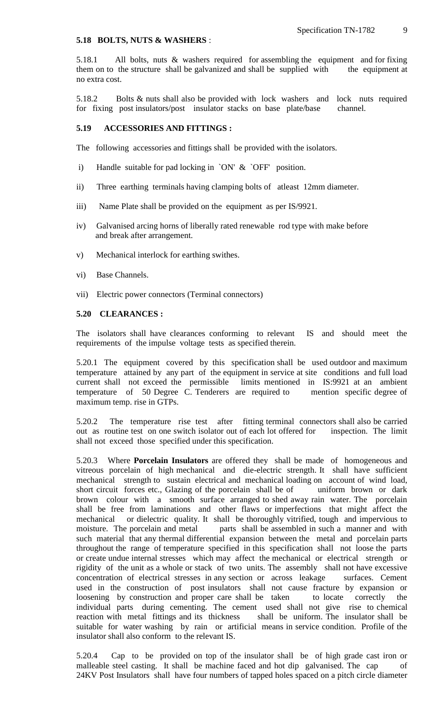#### **5.18 BOLTS, NUTS & WASHERS** :

5.18.1 All bolts, nuts & washers required for assembling the equipment and for fixing them on to the structure shall be galvanized and shall be supplied with the equipment at no extra cost.

5.18.2 Bolts & nuts shall also be provided with lock washers and lock nuts required for fixing post insulators/post insulator stacks on base plate/base channel.

#### **5.19 ACCESSORIES AND FITTINGS :**

The following accessories and fittings shall be provided with the isolators.

- i) Handle suitable for pad locking in `ON' & `OFF' position.
- ii) Three earthing terminals having clamping bolts of atleast 12mm diameter.
- iii) Name Plate shall be provided on the equipment as per IS/9921.
- iv) Galvanised arcing horns of liberally rated renewable rod type with make before and break after arrangement.
- v) Mechanical interlock for earthing swithes.
- vi) Base Channels.
- vii) Electric power connectors (Terminal connectors)

#### **5.20 CLEARANCES :**

The isolators shall have clearances conforming to relevant IS and should meet the requirements of the impulse voltage tests as specified therein.

5.20.1 The equipment covered by this specification shall be used outdoor and maximum temperature attained by any part of the equipment in service at site conditions and full load current shall not exceed the permissible limits mentioned in IS:9921 at an ambient temperature of 50 Degree C. Tenderers are required to mention specific degree of maximum temp. rise in GTPs.

5.20.2 The temperature rise test after fitting terminal connectors shall also be carried out as routine test on one switch isolator out of each lot offered for inspection. The limit shall not exceed those specified under this specification.

5.20.3 Where **Porcelain Insulators** are offered they shall be made of homogeneous and vitreous porcelain of high mechanical and die-electric strength. It shall have sufficient mechanical strength to sustain electrical and mechanical loading on account of wind load, short circuit forces etc., Glazing of the porcelain shall be of uniform brown or dark brown colour with a smooth surface arranged to shed away rain water. The porcelain shall be free from laminations and other flaws or imperfections that might affect the mechanical or dielectric quality. It shall be thoroughly vitrified, tough and impervious to moisture. The porcelain and metal parts shall be assembled in such a manner and with such material that any thermal differential expansion between the metal and porcelain parts throughout the range of temperature specified in this specification shall not loose the parts or create undue internal stresses which may affect the mechanical or electrical strength or rigidity of the unit as a whole or stack of two units. The assembly shall not have excessive concentration of electrical stresses in any section or across leakage surfaces. Cement used in the construction of post insulators shall not cause fracture by expansion or loosening by construction and proper care shall be taken to locate correctly the individual parts during cementing. The cement used shall not give rise to chemical reaction with metal fittings and its thickness shall be uniform. The insulator shall be suitable for water washing by rain or artificial means in service condition. Profile of the insulator shall also conform to the relevant IS.

5.20.4 Cap to be provided on top of the insulator shall be of high grade cast iron or malleable steel casting. It shall be machine faced and hot dip galvanised. The cap of 24KV Post Insulators shall have four numbers of tapped holes spaced on a pitch circle diameter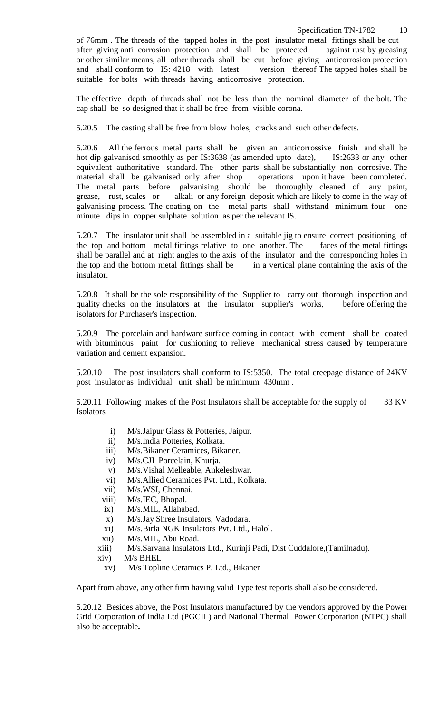of 76mm . The threads of the tapped holes in the post insulator metal fittings shall be cut after giving anti corrosion protection and shall be protected against rust by greasing or other similar means, all other threads shall be cut before giving anticorrosion protection and shall conform to IS: 4218 with latest version thereof The tapped holes shall be suitable for bolts with threads having anticorrosive protection.

The effective depth of threads shall not be less than the nominal diameter of the bolt. The cap shall be so designed that it shall be free from visible corona.

5.20.5 The casting shall be free from blow holes, cracks and such other defects.

5.20.6 All the ferrous metal parts shall be given an anticorrossive finish and shall be hot dip galvanised smoothly as per IS:3638 (as amended upto date), IS:2633 or any other equivalent authoritative standard. The other parts shall be substantially non corrosive. The material shall be galvanised only after shop operations upon it have been completed. The metal parts before galvanising should be thoroughly cleaned of any paint, grease, rust, scales or alkali or any foreign deposit which are likely to come in the way of galvanising process. The coating on the metal parts shall withstand minimum four one minute dips in copper sulphate solution as per the relevant IS.

5.20.7 The insulator unit shall be assembled in a suitable jig to ensure correct positioning of the top and bottom metal fittings relative to one another. The faces of the metal fittings shall be parallel and at right angles to the axis of the insulator and the corresponding holes in the top and the bottom metal fittings shall be in a vertical plane containing the axis of the insulator.

5.20.8 It shall be the sole responsibility of the Supplier to carry out thorough inspection and quality checks on the insulators at the insulator supplier's works, before offering the isolators for Purchaser's inspection.

5.20.9 The porcelain and hardware surface coming in contact with cement shall be coated with bituminous paint for cushioning to relieve mechanical stress caused by temperature variation and cement expansion.

5.20.10 The post insulators shall conform to IS:5350. The total creepage distance of 24KV post insulator as individual unit shall be minimum 430mm .

5.20.11 Following makes of the Post Insulators shall be acceptable for the supply of 33 KV **Isolators** 

- i) M/s.Jaipur Glass & Potteries, Jaipur.
- ii) M/s.India Potteries, Kolkata.
- iii) M/s.Bikaner Ceramices, Bikaner.
- iv) M/s.CJI Porcelain, Khurja.
- v) M/s.Vishal Melleable, Ankeleshwar.
- vi) M/s.Allied Ceramices Pvt. Ltd., Kolkata.
- vii) M/s.WSI, Chennai.
- viii) M/s.IEC, Bhopal.
- ix) M/s.MIL, Allahabad.
- x) M/s.Jay Shree Insulators, Vadodara.
- xi) M/s.Birla NGK Insulators Pvt. Ltd., Halol.
- xii) M/s.MIL, Abu Road.
- xiii) M/s.Sarvana Insulators Ltd., Kurinji Padi, Dist Cuddalore,(Tamilnadu).
- xiv) M/s BHEL
	- xv) M/s Topline Ceramics P. Ltd., Bikaner

Apart from above, any other firm having valid Type test reports shall also be considered.

5.20.12 Besides above, the Post Insulators manufactured by the vendors approved by the Power Grid Corporation of India Ltd (PGCIL) and National Thermal Power Corporation (NTPC) shall also be acceptable**.**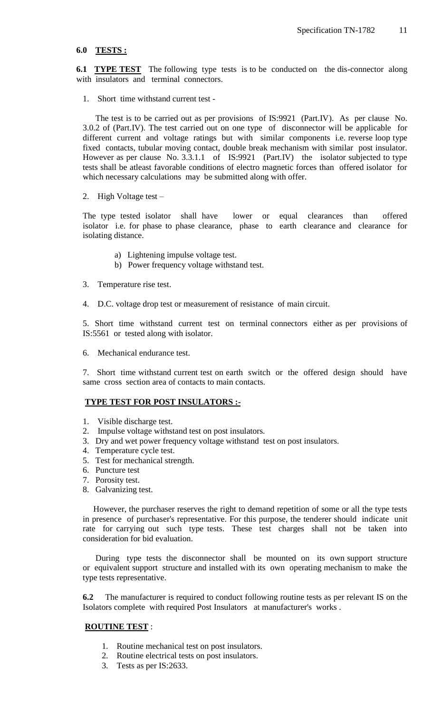#### **6.0 TESTS :**

**6.1 TYPE TEST** The following type tests is to be conducted on the dis-connector along with insulators and terminal connectors.

1. Short time withstand current test -

 The test is to be carried out as per provisions of IS:9921 (Part.IV). As per clause No. 3.0.2 of (Part.IV). The test carried out on one type of disconnector will be applicable for different current and voltage ratings but with similar components i.e. reverse loop type fixed contacts, tubular moving contact, double break mechanism with similar post insulator. However as per clause No. 3.3.1.1 of IS:9921 (Part.IV) the isolator subjected to type tests shall be atleast favorable conditions of electro magnetic forces than offered isolator for which necessary calculations may be submitted along with offer.

2. High Voltage test –

The type tested isolator shall have lower or equal clearances than offered isolator i.e. for phase to phase clearance, phase to earth clearance and clearance for isolating distance.

- a) Lightening impulse voltage test.
- b) Power frequency voltage withstand test.
- 3. Temperature rise test.
- 4. D.C. voltage drop test or measurement of resistance of main circuit.

5. Short time withstand current test on terminal connectors either as per provisions of IS:5561 or tested along with isolator.

6. Mechanical endurance test.

7. Short time withstand current test on earth switch or the offered design should have same cross section area of contacts to main contacts.

#### **TYPE TEST FOR POST INSULATORS :-**

- 1. Visible discharge test.
- 2. Impulse voltage withstand test on post insulators.
- 3. Dry and wet power frequency voltage withstand test on post insulators.
- 4. Temperature cycle test.
- 5. Test for mechanical strength.
- 6. Puncture test
- 7. Porosity test.
- 8. Galvanizing test.

 However, the purchaser reserves the right to demand repetition of some or all the type tests in presence of purchaser's representative. For this purpose, the tenderer should indicate unit rate for carrying out such type tests. These test charges shall not be taken into consideration for bid evaluation.

 During type tests the disconnector shall be mounted on its own support structure or equivalent support structure and installed with its own operating mechanism to make the type tests representative.

**6.2** The manufacturer is required to conduct following routine tests as per relevant IS on the Isolators complete with required Post Insulators at manufacturer's works .

## **ROUTINE TEST** :

- 1. Routine mechanical test on post insulators.
- 2. Routine electrical tests on post insulators.
- 3. Tests as per IS:2633.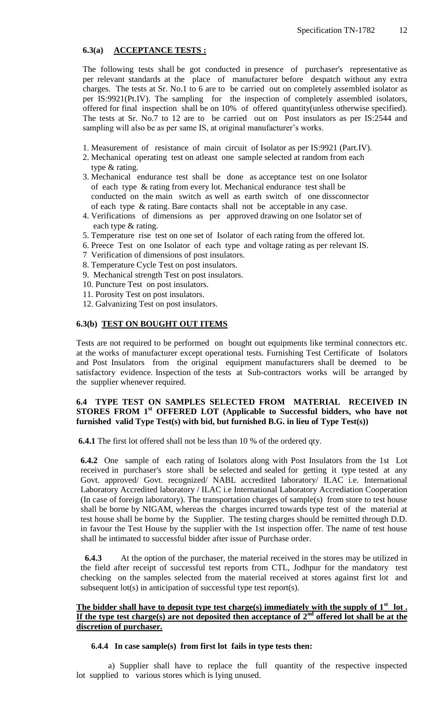## **6.3(a) ACCEPTANCE TESTS :**

The following tests shall be got conducted in presence of purchaser's representative as per relevant standards at the place of manufacturer before despatch without any extra charges. The tests at Sr. No.1 to 6 are to be carried out on completely assembled isolator as per IS:9921(Pt.IV). The sampling for the inspection of completely assembled isolators, offered for final inspection shall be on 10% of offered quantity(unless otherwise specified). The tests at Sr. No.7 to 12 are to be carried out on Post insulators as per IS:2544 and sampling will also be as per same IS, at original manufacturer's works.

- 1. Measurement of resistance of main circuit of Isolator as per IS:9921 (Part.IV).
- 2. Mechanical operating test on atleast one sample selected at random from each type & rating.
- 3. Mechanical endurance test shall be done as acceptance test on one Isolator of each type & rating from every lot. Mechanical endurance test shall be conducted on the main switch as well as earth switch of one dissconnector of each type & rating. Bare contacts shall not be acceptable in any case.
- 4. Verifications of dimensions as per approved drawing on one Isolator set of each type & rating.
- 5. Temperature rise test on one set of Isolator of each rating from the offered lot.
- 6. Preece Test on one Isolator of each type and voltage rating as per relevant IS.
- 7 Verification of dimensions of post insulators.
- 8. Temperature Cycle Test on post insulators.
- 9. Mechanical strength Test on post insulators.
- 10. Puncture Test on post insulators.
- 11. Porosity Test on post insulators.
- 12. Galvanizing Test on post insulators.

#### **6.3(b) TEST ON BOUGHT OUT ITEMS**

Tests are not required to be performed on bought out equipments like terminal connectors etc. at the works of manufacturer except operational tests. Furnishing Test Certificate of Isolators and Post Insulators from the original equipment manufacturers shall be deemed to be satisfactory evidence. Inspection of the tests at Sub-contractors works will be arranged by the supplier whenever required.

## **6.4 TYPE TEST ON SAMPLES SELECTED FROM MATERIAL RECEIVED IN STORES FROM 1st OFFERED LOT (Applicable to Successful bidders, who have not furnished valid Type Test(s) with bid, but furnished B.G. in lieu of Type Test(s))**

**6.4.1** The first lot offered shall not be less than 10 % of the ordered qty.

**6.4.2** One sample of each rating of Isolators along with Post Insulators from the 1st Lot received in purchaser's store shall be selected and sealed for getting it type tested at any Govt. approved/ Govt. recognized/ NABL accredited laboratory/ ILAC i.e. International Laboratory Accredited laboratory / ILAC i.e International Laboratory Accrediation Cooperation (In case of foreign laboratory). The transportation charges of sample(s) from store to test house shall be borne by NIGAM, whereas the charges incurred towards type test of the material at test house shall be borne by the Supplier. The testing charges should be remitted through D.D. in favour the Test House by the supplier with the 1st inspection offer. The name of test house shall be intimated to successful bidder after issue of Purchase order.

**6.4.3** At the option of the purchaser, the material received in the stores may be utilized in the field after receipt of successful test reports from CTL, Jodhpur for the mandatory test checking on the samples selected from the material received at stores against first lot and subsequent lot(s) in anticipation of successful type test report(s).

## The bidder shall have to deposit type test charge(s) immediately with the supply of 1<sup>st</sup> lot. If the type test charge(s) are not deposited then acceptance of  $2<sup>nd</sup>$  offered lot shall be at the **discretion of purchaser.**

#### **6.4.4 In case sample(s) from first lot fails in type tests then:**

 a) Supplier shall have to replace the full quantity of the respective inspected lot supplied to various stores which is lying unused.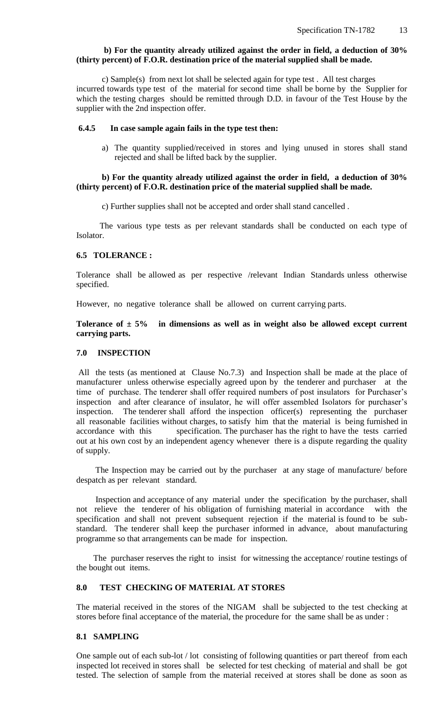#### **b) For the quantity already utilized against the order in field, a deduction of 30% (thirty percent) of F.O.R. destination price of the material supplied shall be made.**

 c) Sample(s) from next lot shall be selected again for type test . All test charges incurred towards type test of the material for second time shall be borne by the Supplier for which the testing charges should be remitted through D.D. in favour of the Test House by the supplier with the 2nd inspection offer.

#### **6.4.5 In case sample again fails in the type test then:**

a) The quantity supplied/received in stores and lying unused in stores shall stand rejected and shall be lifted back by the supplier.

#### **b) For the quantity already utilized against the order in field, a deduction of 30% (thirty percent) of F.O.R. destination price of the material supplied shall be made.**

c) Further supplies shall not be accepted and order shall stand cancelled .

 The various type tests as per relevant standards shall be conducted on each type of Isolator.

## **6.5 TOLERANCE :**

Tolerance shall be allowed as per respective /relevant Indian Standards unless otherwise specified.

However, no negative tolerance shall be allowed on current carrying parts.

## **Tolerance of ± 5% in dimensions as well as in weight also be allowed except current carrying parts.**

## **7.0 INSPECTION**

All the tests (as mentioned at Clause No.7.3) and Inspection shall be made at the place of manufacturer unless otherwise especially agreed upon by the tenderer and purchaser at the time of purchase. The tenderer shall offer required numbers of post insulators for Purchaser's inspection and after clearance of insulator, he will offer assembled Isolators for purchaser's inspection. The tenderer shall afford the inspection officer(s) representing the purchaser all reasonable facilities without charges, to satisfy him that the material is being furnished in accordance with this specification. The purchaser has the right to have the tests carried out at his own cost by an independent agency whenever there is a dispute regarding the quality of supply.

 The Inspection may be carried out by the purchaser at any stage of manufacture/ before despatch as per relevant standard.

 Inspection and acceptance of any material under the specification by the purchaser, shall not relieve the tenderer of his obligation of furnishing material in accordance with the specification and shall not prevent subsequent rejection if the material is found to be substandard. The tenderer shall keep the purchaser informed in advance, about manufacturing programme so that arrangements can be made for inspection.

 The purchaser reserves the right to insist for witnessing the acceptance/ routine testings of the bought out items.

#### **8.0 TEST CHECKING OF MATERIAL AT STORES**

The material received in the stores of the NIGAM shall be subjected to the test checking at stores before final acceptance of the material, the procedure for the same shall be as under :

#### **8.1 SAMPLING**

One sample out of each sub-lot / lot consisting of following quantities or part thereof from each inspected lot received in stores shall be selected for test checking of material and shall be got tested. The selection of sample from the material received at stores shall be done as soon as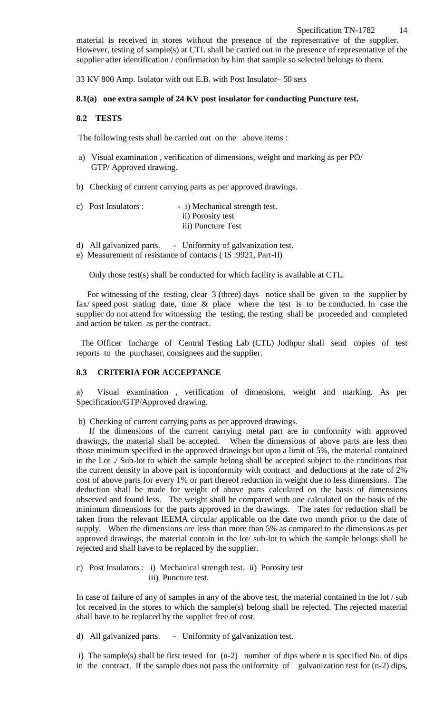## Specification TN-1782 14

material is received in stores without the presence of the representative of the supplier. However, testing of sample(s) at CTL shall be carried out in the presence of representative of the supplier after identification / confirmation by him that sample so selected belongs to them.

33 KV 800 Amp. Isolator with out E.B. with Post Insulator– 50 sets

#### **8.1(a) one extra sample of 24 KV post insulator for conducting Puncture test.**

## **8.2 TESTS**

The following tests shall be carried out on the above items :

- a) Visual examination , verification of dimensions, weight and marking as per PO/ GTP/ Approved drawing.
- b) Checking of current carrying parts as per approved drawings.

| c) Post Insulators : | - i) Mechanical strength test. |
|----------------------|--------------------------------|
|                      | ii) Porosity test              |
|                      | iii) Puncture Test             |

- d) All galvanized parts. Uniformity of galvanization test.
- e) Measurement of resistance of contacts ( IS :9921, Part-II)

Only those test(s) shall be conducted for which facility is available at CTL.

 For witnessing of the testing, clear 3 (three) days notice shall be given to the supplier by fax/ speed post stating date, time & place where the test is to be conducted. In case the supplier do not attend for witnessing the testing, the testing shall be proceeded and completed and action be taken as per the contract.

 The Officer Incharge of Central Testing Lab (CTL) Jodhpur shall send copies of test reports to the purchaser, consignees and the supplier.

#### **8.3 CRITERIA FOR ACCEPTANCE**

a) Visual examination , verification of dimensions, weight and marking. As per Specification/GTP/Approved drawing.

b) Checking of current carrying parts as per approved drawings.

 If the dimensions of the current carrying metal part are in conformity with approved drawings, the material shall be accepted. When the dimensions of above parts are less then those minimum specified in the approved drawings but upto a limit of 5%, the material contained in the Lot ./ Sub-lot to which the sample belong shall be accepted subject to the conditions that the current density in above part is inconformity with contract and deductions at the rate of 2% cost of above parts for every 1% or part thereof reduction in weight due to less dimensions. The deduction shall be made for weight of above parts calculated on the basis of dimensions observed and found less. The weight shall be compared with one calculated on the basis of the minimum dimensions for the parts approved in the drawings. The rates for reduction shall be taken from the relevant IEEMA circular applicable on the date two month prior to the date of supply. When the dimensions are less than more than 5% as compared to the dimensions as per approved drawings, the material contain in the lot/ sub-lot to which the sample belongs shall be rejected and shall have to be replaced by the supplier.

c) Post Insulators : i) Mechanical strength test. ii) Porosity test iii) Puncture test.

In case of failure of any of samples in any of the above test, the material contained in the lot / sub lot received in the stores to which the sample(s) belong shall be rejected. The rejected material shall have to be replaced by the supplier free of cost.

d) All galvanized parts. - Uniformity of galvanization test.

i) The sample(s) shall be first tested for (n-2) number of dips where n is specified No. of dips in the contract. If the sample does not pass the uniformity of galvanization test for (n-2) dips,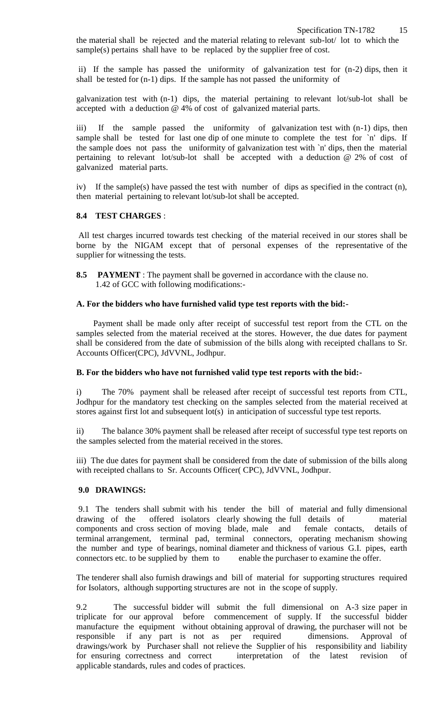the material shall be rejected and the material relating to relevant sub-lot/ lot to which the sample(s) pertains shall have to be replaced by the supplier free of cost.

ii) If the sample has passed the uniformity of galvanization test for (n-2) dips, then it shall be tested for (n-1) dips. If the sample has not passed the uniformity of

galvanization test with (n-1) dips, the material pertaining to relevant lot/sub-lot shall be accepted with a deduction @ 4% of cost of galvanized material parts.

iii) If the sample passed the uniformity of galvanization test with (n-1) dips, then sample shall be tested for last one dip of one minute to complete the test for `n' dips. If the sample does not pass the uniformity of galvanization test with `n' dips, then the material pertaining to relevant lot/sub-lot shall be accepted with a deduction @ 2% of cost of galvanized material parts.

iv) If the sample(s) have passed the test with number of dips as specified in the contract (n), then material pertaining to relevant lot/sub-lot shall be accepted.

#### **8.4 TEST CHARGES** :

All test charges incurred towards test checking of the material received in our stores shall be borne by the NIGAM except that of personal expenses of the representative of the supplier for witnessing the tests.

**8.5 PAYMENT** : The payment shall be governed in accordance with the clause no. 1.42 of GCC with following modifications:-

#### **A. For the bidders who have furnished valid type test reports with the bid:-**

 Payment shall be made only after receipt of successful test report from the CTL on the samples selected from the material received at the stores. However, the due dates for payment shall be considered from the date of submission of the bills along with receipted challans to Sr. Accounts Officer(CPC), JdVVNL, Jodhpur.

#### **B. For the bidders who have not furnished valid type test reports with the bid:-**

i) The 70% payment shall be released after receipt of successful test reports from CTL, Jodhpur for the mandatory test checking on the samples selected from the material received at stores against first lot and subsequent lot(s) in anticipation of successful type test reports.

ii) The balance 30% payment shall be released after receipt of successful type test reports on the samples selected from the material received in the stores.

iii) The due dates for payment shall be considered from the date of submission of the bills along with receipted challans to Sr. Accounts Officer( CPC), JdVVNL, Jodhpur.

#### **9.0 DRAWINGS:**

9.1 The tenders shall submit with his tender the bill of material and fully dimensional drawing of the offered isolators clearly showing the full details of material components and cross section of moving blade, male and female contacts, details of terminal arrangement, terminal pad, terminal connectors, operating mechanism showing the number and type of bearings, nominal diameter and thickness of various G.I. pipes, earth connectors etc. to be supplied by them to enable the purchaser to examine the offer.

The tenderer shall also furnish drawings and bill of material for supporting structures required for Isolators, although supporting structures are not in the scope of supply.

9.2 The successful bidder will submit the full dimensional on A-3 size paper in triplicate for our approval before commencement of supply. If the successful bidder manufacture the equipment without obtaining approval of drawing, the purchaser will not be responsible if any part is not as per required dimensions. Approval of drawings/work by Purchaser shall not relieve the Supplier of his responsibility and liability for ensuring correctness and correct interpretation of the latest revision of applicable standards, rules and codes of practices.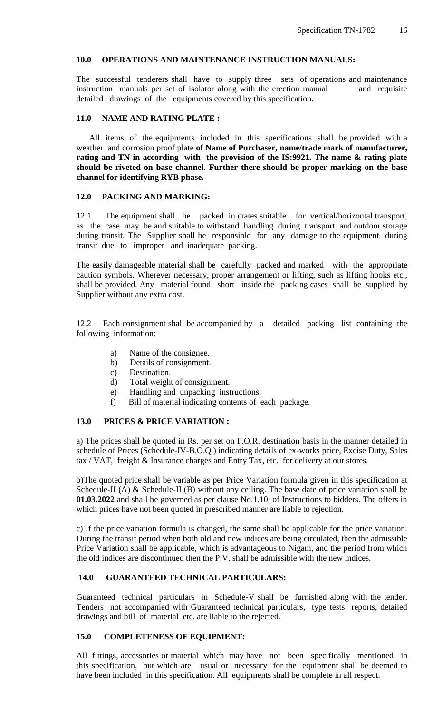## **10.0 OPERATIONS AND MAINTENANCE INSTRUCTION MANUALS:**

The successful tenderers shall have to supply three sets of operations and maintenance instruction manuals per set of isolator along with the erection manual and requisite detailed drawings of the equipments covered by this specification.

## **11.0 NAME AND RATING PLATE :**

 All items of the equipments included in this specifications shall be provided with a weather and corrosion proof plate **of Name of Purchaser, name/trade mark of manufacturer, rating and TN in according with the provision of the IS:9921. The name & rating plate should be riveted on base channel. Further there should be proper marking on the base channel for identifying RYB phase.** 

#### **12.0 PACKING AND MARKING:**

12.1 The equipment shall be packed in crates suitable for vertical/horizontal transport, as the case may be and suitable to withstand handling during transport and outdoor storage during transit. The Supplier shall be responsible for any damage to the equipment during transit due to improper and inadequate packing.

The easily damageable material shall be carefully packed and marked with the appropriate caution symbols. Wherever necessary, proper arrangement or lifting, such as lifting hooks etc., shall be provided. Any material found short inside the packing cases shall be supplied by Supplier without any extra cost.

12.2 Each consignment shall be accompanied by a detailed packing list containing the following information:

- a) Name of the consignee.
- b) Details of consignment.
- c) Destination.
- d) Total weight of consignment.
- e) Handling and unpacking instructions.
- f) Bill of material indicating contents of each package.

## **13.0 PRICES & PRICE VARIATION :**

a) The prices shall be quoted in Rs. per set on F.O.R. destination basis in the manner detailed in schedule of Prices (Schedule-IV-B.O.Q.) indicating details of ex-works price, Excise Duty, Sales tax / VAT, freight & Insurance charges and Entry Tax, etc. for delivery at our stores.

b)The quoted price shall be variable as per Price Variation formula given in this specification at Schedule-II (A) & Schedule-II (B) without any ceiling. The base date of price variation shall be **01.03.2022** and shall be governed as per clause No.1.10. of Instructions to bidders. The offers in which prices have not been quoted in prescribed manner are liable to rejection.

c) If the price variation formula is changed, the same shall be applicable for the price variation. During the transit period when both old and new indices are being circulated, then the admissible Price Variation shall be applicable, which is advantageous to Nigam, and the period from which the old indices are discontinued then the P.V. shall be admissible with the new indices.

## **14.0 GUARANTEED TECHNICAL PARTICULARS:**

Guaranteed technical particulars in Schedule-V shall be furnished along with the tender. Tenders not accompanied with Guaranteed technical particulars, type tests reports, detailed drawings and bill of material etc. are liable to the rejected.

## **15.0 COMPLETENESS OF EQUIPMENT:**

All fittings, accessories or material which may have not been specifically mentioned in this specification, but which are usual or necessary for the equipment shall be deemed to have been included in this specification. All equipments shall be complete in all respect.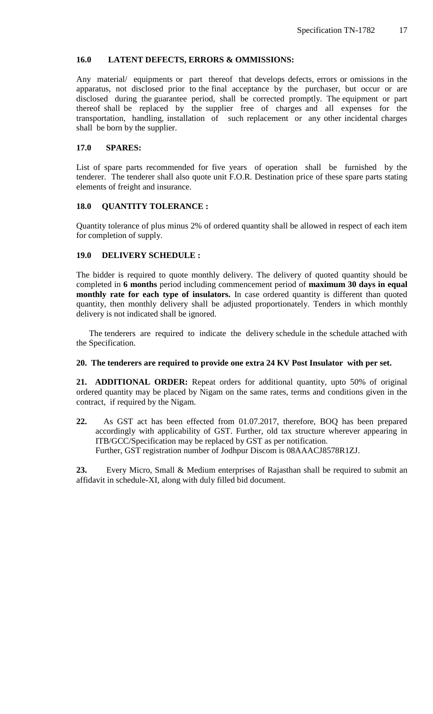## **16.0 LATENT DEFECTS, ERRORS & OMMISSIONS:**

Any material/ equipments or part thereof that develops defects, errors or omissions in the apparatus, not disclosed prior to the final acceptance by the purchaser, but occur or are disclosed during the guarantee period, shall be corrected promptly. The equipment or part thereof shall be replaced by the supplier free of charges and all expenses for the transportation, handling, installation of such replacement or any other incidental charges shall be born by the supplier.

## **17.0 SPARES:**

List of spare parts recommended for five years of operation shall be furnished by the tenderer. The tenderer shall also quote unit F.O.R. Destination price of these spare parts stating elements of freight and insurance.

#### **18.0 QUANTITY TOLERANCE :**

Quantity tolerance of plus minus 2% of ordered quantity shall be allowed in respect of each item for completion of supply.

## **19.0 DELIVERY SCHEDULE :**

The bidder is required to quote monthly delivery. The delivery of quoted quantity should be completed in **6 months** period including commencement period of **maximum 30 days in equal monthly rate for each type of insulators.** In case ordered quantity is different than quoted quantity, then monthly delivery shall be adjusted proportionately. Tenders in which monthly delivery is not indicated shall be ignored.

 The tenderers are required to indicate the delivery schedule in the schedule attached with the Specification.

#### **20. The tenderers are required to provide one extra 24 KV Post Insulator with per set.**

**21. ADDITIONAL ORDER:** Repeat orders for additional quantity, upto 50% of original ordered quantity may be placed by Nigam on the same rates, terms and conditions given in the contract, if required by the Nigam.

**22.** As GST act has been effected from 01.07.2017, therefore, BOQ has been prepared accordingly with applicability of GST. Further, old tax structure wherever appearing in ITB/GCC/Specification may be replaced by GST as per notification. Further, GST registration number of Jodhpur Discom is 08AAACJ8578R1ZJ.

**23.** Every Micro, Small & Medium enterprises of Rajasthan shall be required to submit an affidavit in schedule-XI, along with duly filled bid document.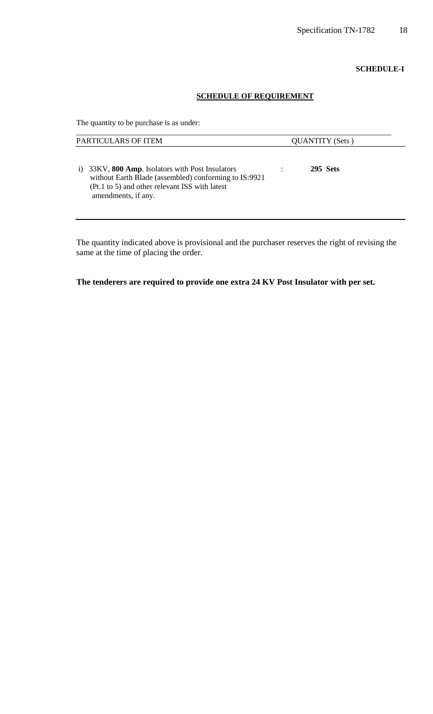#### **SCHEDULE-I**

## **SCHEDULE OF REQUIREMENT**

The quantity to be purchase is as under:

| PARTICULARS OF ITEM                                                                                                                                                                   | <b>QUANTITY</b> (Sets) |  |
|---------------------------------------------------------------------------------------------------------------------------------------------------------------------------------------|------------------------|--|
| 33KV, 800 Amp. Isolators with Post Insulators<br>i)<br>without Earth Blade (assembled) conforming to IS:9921<br>(Pt.1 to 5) and other relevant ISS with latest<br>amendments, if any. | 295 Sets               |  |

The quantity indicated above is provisional and the purchaser reserves the right of revising the same at the time of placing the order.

**The tenderers are required to provide one extra 24 KV Post Insulator with per set.**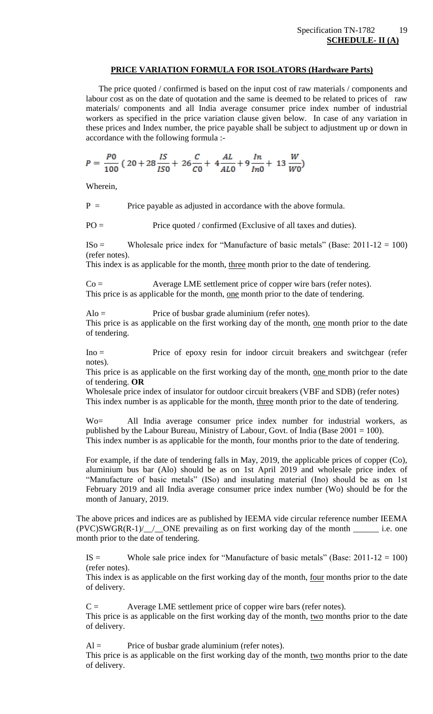## **PRICE VARIATION FORMULA FOR ISOLATORS (Hardware Parts)**

 The price quoted / confirmed is based on the input cost of raw materials / components and labour cost as on the date of quotation and the same is deemed to be related to prices of raw materials/ components and all India average consumer price index number of industrial workers as specified in the price variation clause given below. In case of any variation in these prices and Index number, the price payable shall be subject to adjustment up or down in accordance with the following formula :-

$$
P = \frac{P0}{100} \left( 20 + 28 \frac{IS}{IS0} + 26 \frac{C}{C0} + 4 \frac{AL}{AL0} + 9 \frac{In}{In0} + 13 \frac{W}{W0} \right)
$$

Wherein,

 $P =$  Price payable as adjusted in accordance with the above formula.

 $PO =$  Price quoted / confirmed (Exclusive of all taxes and duties).

 $ISO =$  Wholesale price index for "Manufacture of basic metals" (Base: 2011-12 = 100) (refer notes).

This index is as applicable for the month, three month prior to the date of tendering.

Co = Average LME settlement price of copper wire bars (refer notes). This price is as applicable for the month, one month prior to the date of tendering.

 $A$ lo = Price of busbar grade aluminium (refer notes).

This price is as applicable on the first working day of the month, one month prior to the date of tendering.

Ino = Price of epoxy resin for indoor circuit breakers and switchgear (refer notes).

This price is as applicable on the first working day of the month, <u>one</u> month prior to the date of tendering. **OR**

Wholesale price index of insulator for outdoor circuit breakers (VBF and SDB) (refer notes) This index number is as applicable for the month, three month prior to the date of tendering.

Wo= All India average consumer price index number for industrial workers, as published by the Labour Bureau, Ministry of Labour, Govt. of India (Base 2001 = 100). This index number is as applicable for the month, four months prior to the date of tendering.

For example, if the date of tendering falls in May, 2019, the applicable prices of copper (Co), aluminium bus bar (Alo) should be as on 1st April 2019 and wholesale price index of "Manufacture of basic metals" (ISo) and insulating material (Ino) should be as on 1st February 2019 and all India average consumer price index number (Wo) should be for the month of January, 2019.

The above prices and indices are as published by IEEMA vide circular reference number IEEMA  $(PVC)SWGR(R-1)/$  ONE prevailing as on first working day of the month \_\_\_\_\_\_\_ i.e. one month prior to the date of tendering.

IS  $=$  Whole sale price index for "Manufacture of basic metals" (Base: 2011-12 = 100) (refer notes).

This index is as applicable on the first working day of the month, <u>four</u> months prior to the date of delivery.

 $C =$  Average LME settlement price of copper wire bars (refer notes).

This price is as applicable on the first working day of the month, two months prior to the date of delivery.

 $Al =$  Price of busbar grade aluminium (refer notes). This price is as applicable on the first working day of the month, two months prior to the date

of delivery.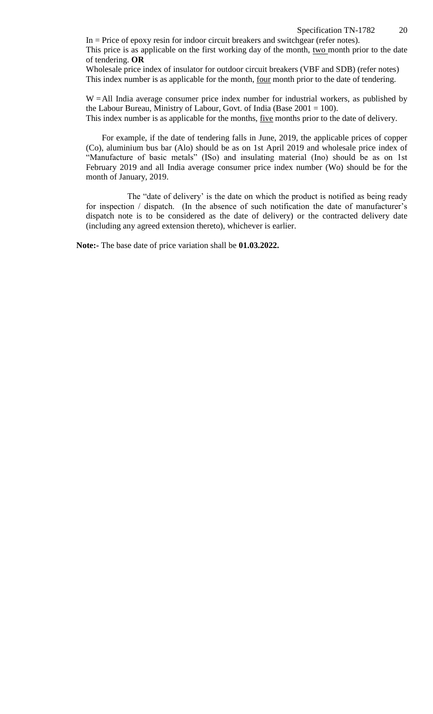Specification TN-1782 20

 $In = Price of epoxy$  resin for indoor circuit breakers and switchgear (refer notes). This price is as applicable on the first working day of the month, two month prior to the date of tendering. **OR**

Wholesale price index of insulator for outdoor circuit breakers (VBF and SDB) (refer notes) This index number is as applicable for the month, <u>four</u> month prior to the date of tendering.

W = All India average consumer price index number for industrial workers, as published by the Labour Bureau, Ministry of Labour, Govt. of India (Base 2001 = 100). This index number is as applicable for the months, five months prior to the date of delivery.

For example, if the date of tendering falls in June, 2019, the applicable prices of copper (Co), aluminium bus bar (Alo) should be as on 1st April 2019 and wholesale price index of "Manufacture of basic metals" (ISo) and insulating material (Ino) should be as on 1st February 2019 and all India average consumer price index number (Wo) should be for the month of January, 2019.

The "date of delivery" is the date on which the product is notified as being ready for inspection / dispatch. (In the absence of such notification the date of manufacturer's dispatch note is to be considered as the date of delivery) or the contracted delivery date (including any agreed extension thereto), whichever is earlier.

**Note:-** The base date of price variation shall be **01.03.2022.**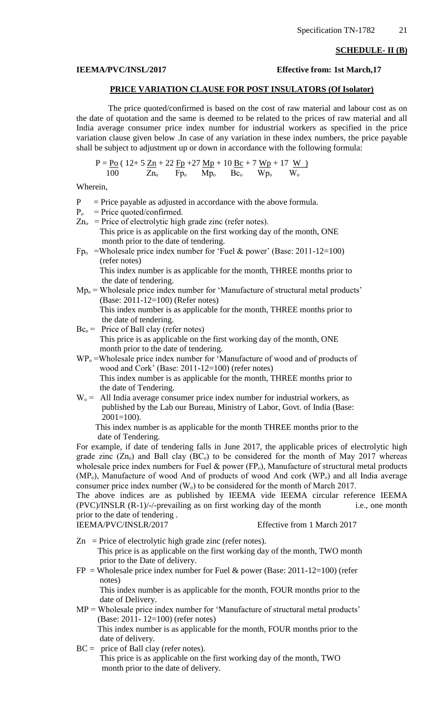#### **SCHEDULE- II (B)**

#### **IEEMA/PVC/INSL/2017 Effective from: 1st March,17**

## **PRICE VARIATION CLAUSE FOR POST INSULATORS (Of Isolator)**

The price quoted/confirmed is based on the cost of raw material and labour cost as on the date of quotation and the same is deemed to be related to the prices of raw material and all India average consumer price index number for industrial workers as specified in the price variation clause given below .In case of any variation in these index numbers, the price payable shall be subject to adjustment up or down in accordance with the following formula:

$$
P = \underline{P_{O}} \ (12 + 5 \ \underline{Z_{n}} + 22 \ \underline{F_{P}} + 27 \ \underline{M_{P}} + 10 \ \underline{B_{C}} + 7 \ \underline{W_{P}} + 17 \ \underline{W})}{100 \ \ \overline{Z_{n_o}} \ \ \overline{F_{p_o}} \ \ \overline{M_{p_o}} \ \ \overline{B_{c_o}} \ \ \overline{W_{p_o}} \ \ \overline{W_{o}}
$$

Wherein,

- $P =$  Price payable as adjusted in accordance with the above formula.
- $P_{o}$  = Price quoted/confirmed.
- $Zn<sub>o</sub>$  = Price of electrolytic high grade zinc (refer notes). This price is as applicable on the first working day of the month, ONE month prior to the date of tendering.
- $Fp_{o}$  =Wholesale price index number for 'Fuel & power' (Base: 2011-12=100) (refer notes)

 This index number is as applicable for the month, THREE months prior to the date of tendering.

- $Mp_0 =$  Wholesale price index number for 'Manufacture of structural metal products' (Base: 2011-12=100) (Refer notes) This index number is as applicable for the month, THREE months prior to the date of tendering.
- $Bc<sub>o</sub>$  = Price of Ball clay (refer notes) This price is as applicable on the first working day of the month, ONE month prior to the date of tendering.
- $WP<sub>o</sub>$  =Wholesale price index number for 'Manufacture of wood and of products of wood and Cork" (Base: 2011-12=100) (refer notes) This index number is as applicable for the month, THREE months prior to the date of Tendering.
- $W<sub>o</sub>$  = All India average consumer price index number for industrial workers, as published by the Lab our Bureau, Ministry of Labor, Govt. of India (Base:  $2001=100$ ).

 This index number is as applicable for the month THREE months prior to the date of Tendering.

For example, if date of tendering falls in June 2017, the applicable prices of electrolytic high grade zinc  $(Zn<sub>o</sub>)$  and Ball clay  $(BC<sub>o</sub>)$  to be considered for the month of May 2017 whereas wholesale price index numbers for Fuel  $\&$  power (FP<sub>o</sub>), Manufacture of structural metal products  $(MP<sub>o</sub>)$ , Manufacture of wood And of products of wood And cork  $(WP<sub>o</sub>)$  and all India average consumer price index number  $(W_0)$  to be considered for the month of March 2017.

The above indices are as published by IEEMA vide IEEMA circular reference IEEMA (PVC)/INSLR (R-1)/-/-prevailing as on first working day of the month i.e., one month prior to the date of tendering .

IEEMA/PVC/INSLR/2017 Effective from 1 March 2017

- $Zn$  = Price of electrolytic high grade zinc (refer notes). This price is as applicable on the first working day of the month, TWO month prior to the Date of delivery.
- $FP = Wholesale price index number for Fuel & power (Base: 2011-12=100) (refer)$ notes)

 This index number is as applicable for the month, FOUR months prior to the date of Delivery.

- MP = Wholesale price index number for 'Manufacture of structural metal products' (Base: 2011- 12=100) (refer notes) This index number is as applicable for the month, FOUR months prior to the date of delivery.
- $BC = price of Ball clay (refer notes).$  This price is as applicable on the first working day of the month, TWO month prior to the date of delivery.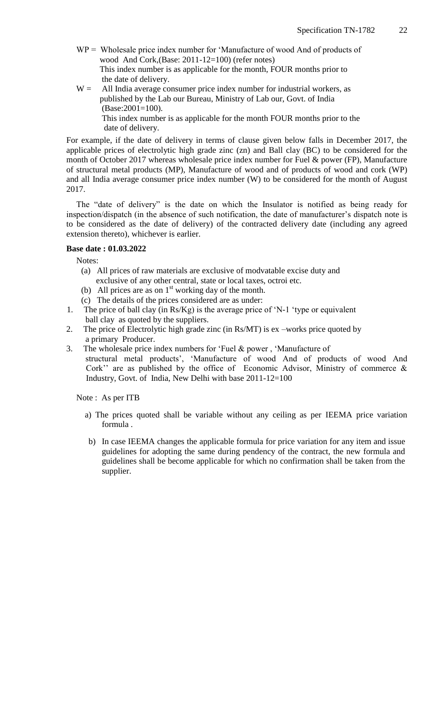- WP = Wholesale price index number for 'Manufacture of wood And of products of wood And Cork,(Base: 2011-12=100) (refer notes) This index number is as applicable for the month, FOUR months prior to the date of delivery.
- $W =$  All India average consumer price index number for industrial workers, as published by the Lab our Bureau, Ministry of Lab our, Govt. of India (Base:2001=100). This index number is as applicable for the month FOUR months prior to the date of delivery.

For example, if the date of delivery in terms of clause given below falls in December 2017, the applicable prices of electrolytic high grade zinc (zn) and Ball clay (BC) to be considered for the month of October 2017 whereas wholesale price index number for Fuel & power (FP), Manufacture of structural metal products (MP), Manufacture of wood and of products of wood and cork (WP) and all India average consumer price index number (W) to be considered for the month of August 2017.

The "date of delivery" is the date on which the Insulator is notified as being ready for inspection/dispatch (in the absence of such notification, the date of manufacturer's dispatch note is to be considered as the date of delivery) of the contracted delivery date (including any agreed extension thereto), whichever is earlier.

#### **Base date : 01.03.2022**

Notes:

- (a) All prices of raw materials are exclusive of modvatable excise duty and exclusive of any other central, state or local taxes, octroi etc.
- (b) All prices are as on  $1<sup>st</sup>$  working day of the month.
- (c) The details of the prices considered are as under:
- 1. The price of ball clay (in Rs/Kg) is the average price of "N-1 "type or equivalent ball clay as quoted by the suppliers.
- 2. The price of Electrolytic high grade zinc (in Rs/MT) is ex –works price quoted by a primary Producer.
- 3. The wholesale price index numbers for "Fuel & power , "Manufacture of structural metal products", "Manufacture of wood And of products of wood And Cork" are as published by the office of Economic Advisor, Ministry of commerce  $\&$ Industry, Govt. of India, New Delhi with base 2011-12=100

Note : As per ITB

- a) The prices quoted shall be variable without any ceiling as per IEEMA price variation formula .
- b) In case IEEMA changes the applicable formula for price variation for any item and issue guidelines for adopting the same during pendency of the contract, the new formula and guidelines shall be become applicable for which no confirmation shall be taken from the supplier.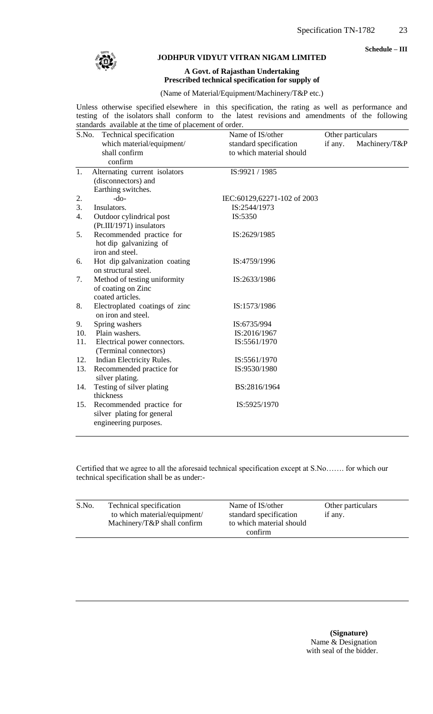**Schedule – III**



#### **JODHPUR VIDYUT VITRAN NIGAM LIMITED**

#### **A Govt. of Rajasthan Undertaking Prescribed technical specification for supply of**

(Name of Material/Equipment/Machinery/T&P etc.)

Unless otherwise specified elsewhere in this specification, the rating as well as performance and testing of the isolators shall conform to the latest revisions and amendments of the following standards available at the time of placement of order.

| S.No. | Technical specification        | Name of IS/other            |         | Other particulars |
|-------|--------------------------------|-----------------------------|---------|-------------------|
|       | which material/equipment/      | standard specification      | if any. | Machinery/T&P     |
|       | shall confirm                  | to which material should    |         |                   |
|       | confirm                        |                             |         |                   |
| 1.    | Alternating current isolators  | IS:9921 / 1985              |         |                   |
|       | (disconnectors) and            |                             |         |                   |
|       | Earthing switches.             |                             |         |                   |
| 2.    | $-do-$                         | IEC:60129,62271-102 of 2003 |         |                   |
| 3.    | Insulators.                    | IS:2544/1973                |         |                   |
| 4.    | Outdoor cylindrical post       | IS:5350                     |         |                   |
|       | (Pt.III/1971) insulators       |                             |         |                   |
| 5.    | Recommended practice for       | IS:2629/1985                |         |                   |
|       | hot dip galvanizing of         |                             |         |                   |
|       | iron and steel.                |                             |         |                   |
| 6.    | Hot dip galvanization coating  | IS:4759/1996                |         |                   |
|       | on structural steel.           |                             |         |                   |
| 7.    | Method of testing uniformity   | IS:2633/1986                |         |                   |
|       | of coating on Zinc             |                             |         |                   |
|       | coated articles.               |                             |         |                   |
| 8.    | Electroplated coatings of zinc | IS:1573/1986                |         |                   |
|       | on iron and steel.             |                             |         |                   |
| 9.    | Spring washers                 | IS:6735/994                 |         |                   |
| 10.   | Plain washers.                 | IS:2016/1967                |         |                   |
| 11.   | Electrical power connectors.   | IS:5561/1970                |         |                   |
|       | (Terminal connectors)          |                             |         |                   |
| 12.   | Indian Electricity Rules.      | IS:5561/1970                |         |                   |
| 13.   | Recommended practice for       | IS:9530/1980                |         |                   |
|       | silver plating.                |                             |         |                   |
| 14.   | Testing of silver plating      | BS:2816/1964                |         |                   |
|       | thickness                      |                             |         |                   |
| 15.   | Recommended practice for       | IS:5925/1970                |         |                   |
|       | silver plating for general     |                             |         |                   |
|       | engineering purposes.          |                             |         |                   |

Certified that we agree to all the aforesaid technical specification except at S.No……. for which our technical specification shall be as under:-

| S.No. | Technical specification         | Name of IS/other         | Other particulars |
|-------|---------------------------------|--------------------------|-------------------|
|       | to which material/equipment/    | standard specification   | if any.           |
|       | Machinery/ $T\&P$ shall confirm | to which material should |                   |
|       |                                 | confirm                  |                   |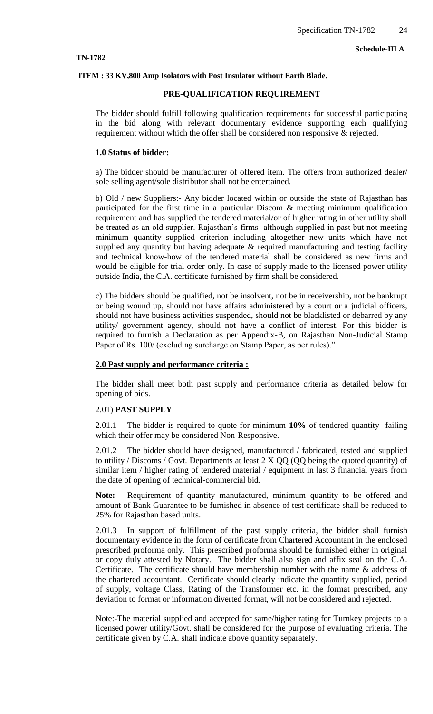#### **TN-1782**

#### **ITEM : 33 KV,800 Amp Isolators with Post Insulator without Earth Blade.**

#### **PRE-QUALIFICATION REQUIREMENT**

The bidder should fulfill following qualification requirements for successful participating in the bid along with relevant documentary evidence supporting each qualifying requirement without which the offer shall be considered non responsive & rejected.

#### **1.0 Status of bidder:**

a) The bidder should be manufacturer of offered item. The offers from authorized dealer/ sole selling agent/sole distributor shall not be entertained.

b) Old / new Suppliers:- Any bidder located within or outside the state of Rajasthan has participated for the first time in a particular Discom & meeting minimum qualification requirement and has supplied the tendered material/or of higher rating in other utility shall be treated as an old supplier. Rajasthan's firms although supplied in past but not meeting minimum quantity supplied criterion including altogether new units which have not supplied any quantity but having adequate  $\&$  required manufacturing and testing facility and technical know-how of the tendered material shall be considered as new firms and would be eligible for trial order only. In case of supply made to the licensed power utility outside India, the C.A. certificate furnished by firm shall be considered.

c) The bidders should be qualified, not be insolvent, not be in receivership, not be bankrupt or being wound up, should not have affairs administered by a court or a judicial officers, should not have business activities suspended, should not be blacklisted or debarred by any utility/ government agency, should not have a conflict of interest. For this bidder is required to furnish a Declaration as per Appendix-B, on Rajasthan Non-Judicial Stamp Paper of Rs. 100/ (excluding surcharge on Stamp Paper, as per rules)."

#### **2.0 Past supply and performance criteria :**

The bidder shall meet both past supply and performance criteria as detailed below for opening of bids.

#### 2.01) **PAST SUPPLY**

2.01.1 The bidder is required to quote for minimum **10%** of tendered quantity failing which their offer may be considered Non-Responsive.

2.01.2 The bidder should have designed, manufactured / fabricated, tested and supplied to utility / Discoms / Govt. Departments at least  $2 \times QQ$  (QQ being the quoted quantity) of similar item / higher rating of tendered material / equipment in last 3 financial years from the date of opening of technical-commercial bid.

**Note:** Requirement of quantity manufactured, minimum quantity to be offered and amount of Bank Guarantee to be furnished in absence of test certificate shall be reduced to 25% for Rajasthan based units.

2.01.3 In support of fulfillment of the past supply criteria, the bidder shall furnish documentary evidence in the form of certificate from Chartered Accountant in the enclosed prescribed proforma only. This prescribed proforma should be furnished either in original or copy duly attested by Notary. The bidder shall also sign and affix seal on the C.A. Certificate. The certificate should have membership number with the name & address of the chartered accountant. Certificate should clearly indicate the quantity supplied, period of supply, voltage Class, Rating of the Transformer etc. in the format prescribed, any deviation to format or information diverted format, will not be considered and rejected.

Note:-The material supplied and accepted for same/higher rating for Turnkey projects to a licensed power utility/Govt. shall be considered for the purpose of evaluating criteria. The certificate given by C.A. shall indicate above quantity separately.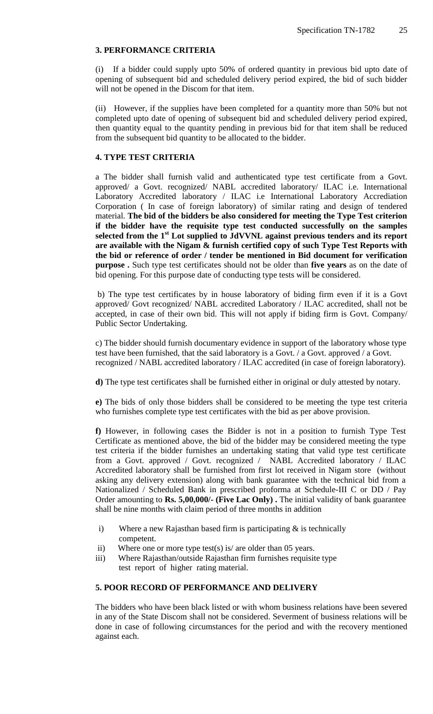## **3. PERFORMANCE CRITERIA**

(i) If a bidder could supply upto 50% of ordered quantity in previous bid upto date of opening of subsequent bid and scheduled delivery period expired, the bid of such bidder will not be opened in the Discom for that item.

(ii) However, if the supplies have been completed for a quantity more than 50% but not completed upto date of opening of subsequent bid and scheduled delivery period expired, then quantity equal to the quantity pending in previous bid for that item shall be reduced from the subsequent bid quantity to be allocated to the bidder.

## **4. TYPE TEST CRITERIA**

a The bidder shall furnish valid and authenticated type test certificate from a Govt. approved/ a Govt. recognized/ NABL accredited laboratory/ ILAC i.e. International Laboratory Accredited laboratory / ILAC i.e International Laboratory Accrediation Corporation ( In case of foreign laboratory) of similar rating and design of tendered material. **The bid of the bidders be also considered for meeting the Type Test criterion if the bidder have the requisite type test conducted successfully on the samples selected from the 1st Lot supplied to JdVVNL against previous tenders and its report are available with the Nigam & furnish certified copy of such Type Test Reports with the bid or reference of order / tender be mentioned in Bid document for verification purpose .** Such type test certificates should not be older than **five years** as on the date of bid opening. For this purpose date of conducting type tests will be considered.

b) The type test certificates by in house laboratory of biding firm even if it is a Govt approved/ Govt recognized/ NABL accredited Laboratory / ILAC accredited, shall not be accepted, in case of their own bid. This will not apply if biding firm is Govt. Company/ Public Sector Undertaking.

c) The bidder should furnish documentary evidence in support of the laboratory whose type test have been furnished, that the said laboratory is a Govt. / a Govt. approved / a Govt. recognized / NABL accredited laboratory / ILAC accredited (in case of foreign laboratory).

**d)** The type test certificates shall be furnished either in original or duly attested by notary.

**e)** The bids of only those bidders shall be considered to be meeting the type test criteria who furnishes complete type test certificates with the bid as per above provision.

**f)** However, in following cases the Bidder is not in a position to furnish Type Test Certificate as mentioned above, the bid of the bidder may be considered meeting the type test criteria if the bidder furnishes an undertaking stating that valid type test certificate from a Govt. approved / Govt. recognized / NABL Accredited laboratory / ILAC Accredited laboratory shall be furnished from first lot received in Nigam store (without asking any delivery extension) along with bank guarantee with the technical bid from a Nationalized / Scheduled Bank in prescribed proforma at Schedule-III C or DD / Pay Order amounting to **Rs. 5,00,000/- (Five Lac Only) .** The initial validity of bank guarantee shall be nine months with claim period of three months in addition

- i) Where a new Rajasthan based firm is participating  $\&$  is technically competent.
- ii) Where one or more type test(s) is/ are older than 05 years.
- iii) Where Rajasthan/outside Rajasthan firm furnishes requisite type test report of higher rating material.

## **5. POOR RECORD OF PERFORMANCE AND DELIVERY**

The bidders who have been black listed or with whom business relations have been severed in any of the State Discom shall not be considered. Severment of business relations will be done in case of following circumstances for the period and with the recovery mentioned against each.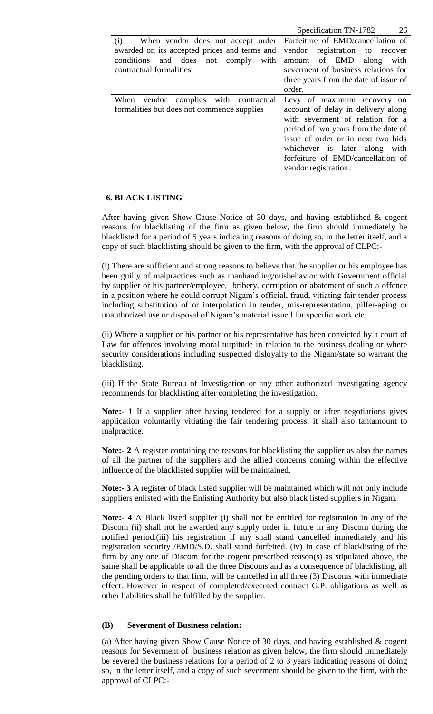|                                              | Specification TN-1782<br>26           |
|----------------------------------------------|---------------------------------------|
| When vendor does not accept order<br>(i)     | Forfeiture of EMD/cancellation of     |
| awarded on its accepted prices and terms and | vendor registration to recover        |
| conditions and does not comply<br>with       | amount of EMD along<br>with           |
| contractual formalities                      | severment of business relations for   |
|                                              | three years from the date of issue of |
|                                              | order.                                |
| When vendor complies with contractual        | Levy of maximum recovery on           |
| formalities but does not commence supplies   | account of delay in delivery along    |
|                                              | with severment of relation for a      |
|                                              | period of two years from the date of  |
|                                              | issue of order or in next two bids    |
|                                              | whichever is later along<br>with      |
|                                              | forfeiture of EMD/cancellation of     |
|                                              | vendor registration.                  |

## **6. BLACK LISTING**

After having given Show Cause Notice of 30 days, and having established & cogent reasons for blacklisting of the firm as given below, the firm should immediately be blacklisted for a period of 5 years indicating reasons of doing so, in the letter itself, and a copy of such blacklisting should be given to the firm, with the approval of CLPC:-

(i) There are sufficient and strong reasons to believe that the supplier or his employee has been guilty of malpractices such as manhandling/misbehavior with Government official by supplier or his partner/employee, bribery, corruption or abatement of such a offence in a position where he could corrupt Nigam"s official, fraud, vitiating fair tender process including substitution of or interpolation in tender, mis-representation, pilfer-aging or unauthorized use or disposal of Nigam"s material issued for specific work etc.

(ii) Where a supplier or his partner or his representative has been convicted by a court of Law for offences involving moral turpitude in relation to the business dealing or where security considerations including suspected disloyalty to the Nigam/state so warrant the blacklisting.

(iii) If the State Bureau of Investigation or any other authorized investigating agency recommends for blacklisting after completing the investigation.

**Note:**- **1** If a supplier after having tendered for a supply or after negotiations gives application voluntarily vitiating the fair tendering process, it shall also tantamount to malpractice.

**Note:- 2** A register containing the reasons for blacklisting the supplier as also the names of all the partner of the suppliers and the allied concerns coming within the effective influence of the blacklisted supplier will be maintained.

**Note:- 3** A register of black listed supplier will be maintained which will not only include suppliers enlisted with the Enlisting Authority but also black listed suppliers in Nigam.

**Note:- 4** A Black listed supplier (i) shall not be entitled for registration in any of the Discom (ii) shall not be awarded any supply order in future in any Discom during the notified period.(iii) his registration if any shall stand cancelled immediately and his registration security /EMD/S.D. shall stand forfeited. (iv) In case of blacklisting of the firm by any one of Discom for the cogent prescribed reason(s) as stipulated above, the same shall be applicable to all the three Discoms and as a consequence of blacklisting, all the pending orders to that firm, will be cancelled in all three (3) Discoms with immediate effect. However in respect of completed/executed contract G.P. obligations as well as other liabilities shall be fulfilled by the supplier.

# **(B) Severment of Business relation:**

(a) After having given Show Cause Notice of 30 days, and having established & cogent reasons for Severment of business relation as given below, the firm should immediately be severed the business relations for a period of 2 to 3 years indicating reasons of doing so, in the letter itself, and a copy of such severment should be given to the firm, with the approval of CLPC:-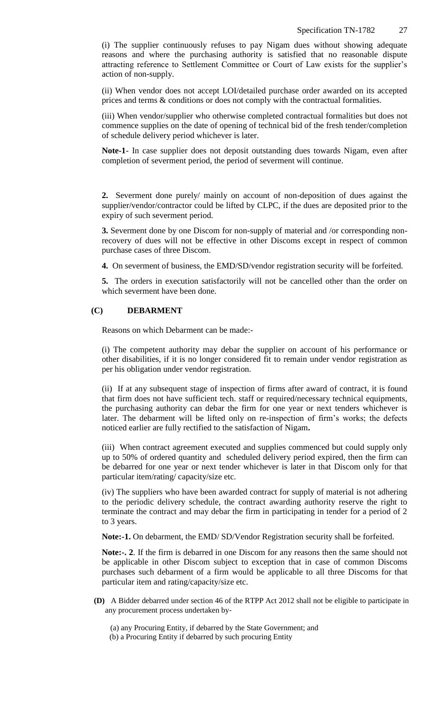(i) The supplier continuously refuses to pay Nigam dues without showing adequate reasons and where the purchasing authority is satisfied that no reasonable dispute attracting reference to Settlement Committee or Court of Law exists for the supplier"s action of non-supply.

(ii) When vendor does not accept LOI/detailed purchase order awarded on its accepted prices and terms & conditions or does not comply with the contractual formalities.

(iii) When vendor/supplier who otherwise completed contractual formalities but does not commence supplies on the date of opening of technical bid of the fresh tender/completion of schedule delivery period whichever is later.

**Note-1**- In case supplier does not deposit outstanding dues towards Nigam, even after completion of severment period, the period of severment will continue.

**2.** Severment done purely/ mainly on account of non-deposition of dues against the supplier/vendor/contractor could be lifted by CLPC, if the dues are deposited prior to the expiry of such severment period.

**3.** Severment done by one Discom for non-supply of material and /or corresponding nonrecovery of dues will not be effective in other Discoms except in respect of common purchase cases of three Discom.

**4.** On severment of business, the EMD/SD/vendor registration security will be forfeited.

**5.** The orders in execution satisfactorily will not be cancelled other than the order on which severment have been done.

## **(C) DEBARMENT**

Reasons on which Debarment can be made:-

(i) The competent authority may debar the supplier on account of his performance or other disabilities, if it is no longer considered fit to remain under vendor registration as per his obligation under vendor registration.

(ii) If at any subsequent stage of inspection of firms after award of contract, it is found that firm does not have sufficient tech. staff or required/necessary technical equipments, the purchasing authority can debar the firm for one year or next tenders whichever is later. The debarment will be lifted only on re-inspection of firm"s works; the defects noticed earlier are fully rectified to the satisfaction of Nigam**.** 

(iii) When contract agreement executed and supplies commenced but could supply only up to 50% of ordered quantity and scheduled delivery period expired, then the firm can be debarred for one year or next tender whichever is later in that Discom only for that particular item/rating/ capacity/size etc.

(iv) The suppliers who have been awarded contract for supply of material is not adhering to the periodic delivery schedule, the contract awarding authority reserve the right to terminate the contract and may debar the firm in participating in tender for a period of 2 to 3 years.

**Note:-1.** On debarment, the EMD/ SD/Vendor Registration security shall be forfeited.

**Note:-. 2**. If the firm is debarred in one Discom for any reasons then the same should not be applicable in other Discom subject to exception that in case of common Discoms purchases such debarment of a firm would be applicable to all three Discoms for that particular item and rating/capacity/size etc.

- **(D)** A Bidder debarred under section 46 of the RTPP Act 2012 shall not be eligible to participate in any procurement process undertaken by‐
	- (a) any Procuring Entity, if debarred by the State Government; and
	- (b) a Procuring Entity if debarred by such procuring Entity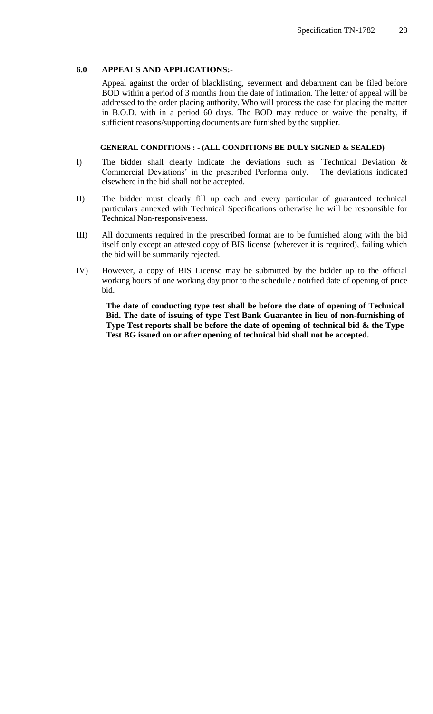## **6.0 APPEALS AND APPLICATIONS:-**

Appeal against the order of blacklisting, severment and debarment can be filed before BOD within a period of 3 months from the date of intimation. The letter of appeal will be addressed to the order placing authority. Who will process the case for placing the matter in B.O.D. with in a period 60 days. The BOD may reduce or waive the penalty, if sufficient reasons/supporting documents are furnished by the supplier.

## **GENERAL CONDITIONS : - (ALL CONDITIONS BE DULY SIGNED & SEALED)**

- I) The bidder shall clearly indicate the deviations such as `Technical Deviation & Commercial Deviations" in the prescribed Performa only. The deviations indicated elsewhere in the bid shall not be accepted.
- II) The bidder must clearly fill up each and every particular of guaranteed technical particulars annexed with Technical Specifications otherwise he will be responsible for Technical Non-responsiveness.
- III) All documents required in the prescribed format are to be furnished along with the bid itself only except an attested copy of BIS license (wherever it is required), failing which the bid will be summarily rejected.
- IV) However, a copy of BIS License may be submitted by the bidder up to the official working hours of one working day prior to the schedule / notified date of opening of price bid.

**The date of conducting type test shall be before the date of opening of Technical Bid. The date of issuing of type Test Bank Guarantee in lieu of non-furnishing of Type Test reports shall be before the date of opening of technical bid & the Type Test BG issued on or after opening of technical bid shall not be accepted.**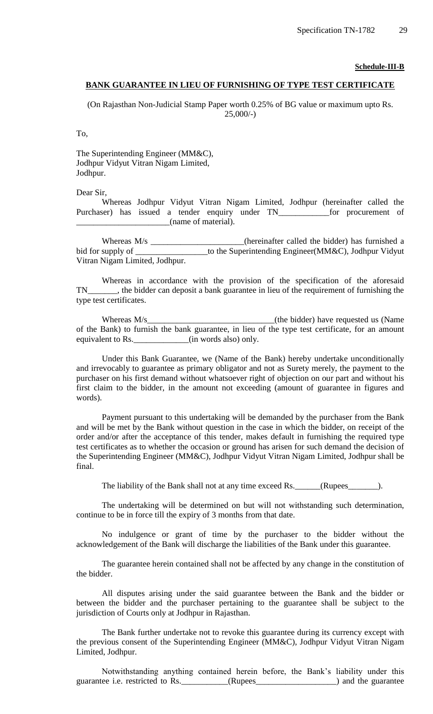**Schedule-III-B**

## **BANK GUARANTEE IN LIEU OF FURNISHING OF TYPE TEST CERTIFICATE**

(On Rajasthan Non-Judicial Stamp Paper worth 0.25% of BG value or maximum upto Rs.  $25,000/-$ 

To,

The Superintending Engineer (MM&C), Jodhpur Vidyut Vitran Nigam Limited, Jodhpur.

Dear Sir,

Whereas Jodhpur Vidyut Vitran Nigam Limited, Jodhpur (hereinafter called the Purchaser) has issued a tender enquiry under TN\_\_\_\_\_\_\_\_\_\_\_\_for procurement of \_\_\_\_\_\_\_\_\_\_\_\_\_\_\_\_\_\_\_\_\_\_(name of material).

Whereas M/s \_\_\_\_\_\_\_\_\_\_\_\_\_\_\_\_\_(hereinafter called the bidder) has furnished a bid for supply of \_\_\_\_\_\_\_\_\_\_\_\_\_\_\_to the Superintending Engineer(MM&C), Jodhpur Vidyut Vitran Nigam Limited, Jodhpur.

Whereas in accordance with the provision of the specification of the aforesaid TN\_\_\_\_\_\_\_, the bidder can deposit a bank guarantee in lieu of the requirement of furnishing the type test certificates.

Whereas M/s (the bidder) have requested us (Name of the Bank) to furnish the bank guarantee, in lieu of the type test certificate, for an amount equivalent to Rs. \_\_\_\_\_\_\_\_\_\_\_\_(in words also) only.

Under this Bank Guarantee, we (Name of the Bank) hereby undertake unconditionally and irrevocably to guarantee as primary obligator and not as Surety merely, the payment to the purchaser on his first demand without whatsoever right of objection on our part and without his first claim to the bidder, in the amount not exceeding (amount of guarantee in figures and words).

Payment pursuant to this undertaking will be demanded by the purchaser from the Bank and will be met by the Bank without question in the case in which the bidder, on receipt of the order and/or after the acceptance of this tender, makes default in furnishing the required type test certificates as to whether the occasion or ground has arisen for such demand the decision of the Superintending Engineer (MM&C), Jodhpur Vidyut Vitran Nigam Limited, Jodhpur shall be final.

The liability of the Bank shall not at any time exceed Rs. \_\_\_\_\_\_(Rupees\_\_\_\_\_\_\_\_).

The undertaking will be determined on but will not withstanding such determination, continue to be in force till the expiry of 3 months from that date.

No indulgence or grant of time by the purchaser to the bidder without the acknowledgement of the Bank will discharge the liabilities of the Bank under this guarantee.

The guarantee herein contained shall not be affected by any change in the constitution of the bidder.

All disputes arising under the said guarantee between the Bank and the bidder or between the bidder and the purchaser pertaining to the guarantee shall be subject to the jurisdiction of Courts only at Jodhpur in Rajasthan.

The Bank further undertake not to revoke this guarantee during its currency except with the previous consent of the Superintending Engineer (MM&C), Jodhpur Vidyut Vitran Nigam Limited, Jodhpur.

Notwithstanding anything contained herein before, the Bank"s liability under this guarantee i.e. restricted to Rs. \_\_\_\_\_\_\_\_\_\_\_(Rupees\_\_\_\_\_\_\_\_\_\_\_\_\_\_\_\_\_) and the guarantee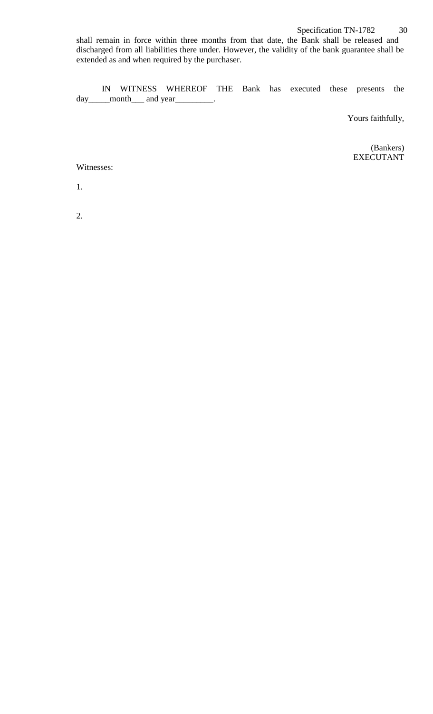shall remain in force within three months from that date, the Bank shall be released and discharged from all liabilities there under. However, the validity of the bank guarantee shall be extended as and when required by the purchaser.

IN WITNESS WHEREOF THE Bank has executed these presents the day\_\_\_\_\_month\_\_\_\_ and year\_\_\_\_\_\_\_\_\_.

Yours faithfully,

(Bankers) EXECUTANT

Witnesses:

1.

2.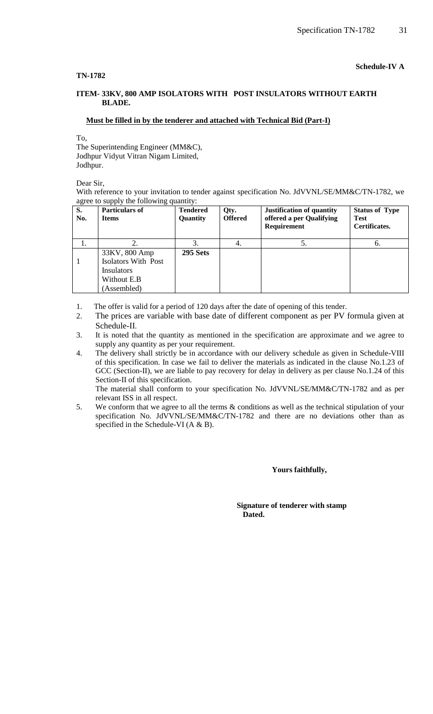#### **TN-1782**

## **Schedule-IV A**

#### **ITEM- 33KV, 800 AMP ISOLATORS WITH POST INSULATORS WITHOUT EARTH BLADE.**

#### **Must be filled in by the tenderer and attached with Technical Bid (Part-I)**

To,

The Superintending Engineer (MM&C), Jodhpur Vidyut Vitran Nigam Limited, Jodhpur.

Dear Sir,

With reference to your invitation to tender against specification No. JdVVNL/SE/MM&C/TN-1782, we agree to supply the following quantity:

| S.<br>No. | <b>Particulars of</b><br><b>Items</b> | <b>Tendered</b><br>Quantity | Qty.<br><b>Offered</b> | Justification of quantity<br>offered a per Qualifying<br>Requirement | <b>Status of Type</b><br><b>Test</b><br>Certificates. |
|-----------|---------------------------------------|-----------------------------|------------------------|----------------------------------------------------------------------|-------------------------------------------------------|
| 1.        |                                       |                             | 4.                     | Ο.                                                                   | $\mathbf{0}$                                          |
|           | 33KV, 800 Amp                         | 295 Sets                    |                        |                                                                      |                                                       |
|           | Isolators With Post                   |                             |                        |                                                                      |                                                       |
|           | <b>Insulators</b>                     |                             |                        |                                                                      |                                                       |
|           | Without E.B                           |                             |                        |                                                                      |                                                       |
|           | (Assembled)                           |                             |                        |                                                                      |                                                       |

1. The offer is valid for a period of 120 days after the date of opening of this tender.

- 2. The prices are variable with base date of different component as per PV formula given at Schedule-II.
- 3. It is noted that the quantity as mentioned in the specification are approximate and we agree to supply any quantity as per your requirement.
- 4. The delivery shall strictly be in accordance with our delivery schedule as given in Schedule-VIII of this specification. In case we fail to deliver the materials as indicated in the clause No.1.23 of GCC (Section-II), we are liable to pay recovery for delay in delivery as per clause No.1.24 of this Section-II of this specification.

The material shall conform to your specification No. JdVVNL/SE/MM&C/TN-1782 and as per relevant ISS in all respect.

5. We conform that we agree to all the terms & conditions as well as the technical stipulation of your specification No. JdVVNL/SE/MM&C/TN-1782 and there are no deviations other than as specified in the Schedule-VI (A & B).

 **Yours faithfully,** 

 **Signature of tenderer with stamp Dated.**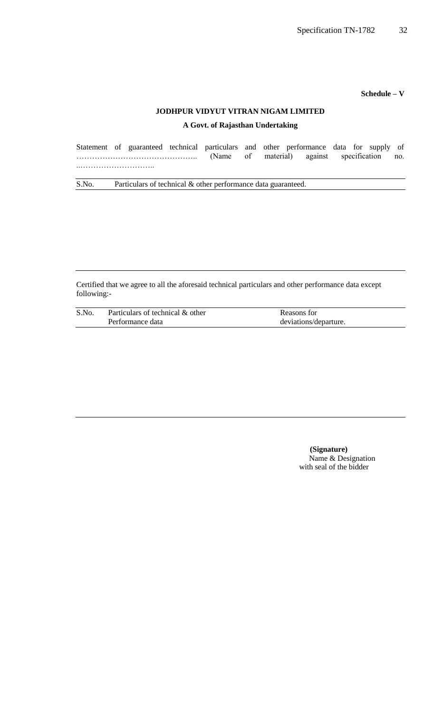**Schedule – V**

## **JODHPUR VIDYUT VITRAN NIGAM LIMITED**

## **A Govt. of Rajasthan Undertaking**

|  |  |  | Statement of guaranteed technical particulars and other performance data for supply of |  |  |
|--|--|--|----------------------------------------------------------------------------------------|--|--|
|  |  |  | (Name of material) against specification no.                                           |  |  |
|  |  |  |                                                                                        |  |  |
|  |  |  |                                                                                        |  |  |

S.No. Particulars of technical & other performance data guaranteed.

Certified that we agree to all the aforesaid technical particulars and other performance data except following:-

| S.No | Particulars of technical & other | Reasons for           |
|------|----------------------------------|-----------------------|
|      | Performance data                 | deviations/departure. |

 **(Signature)** Name & Designation with seal of the bidder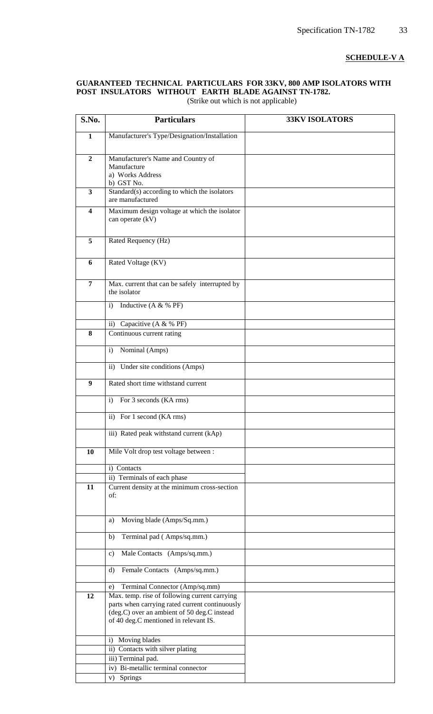## **SCHEDULE-V A**

## **GUARANTEED TECHNICAL PARTICULARS FOR 33KV, 800 AMP ISOLATORS WITH POST INSULATORS WITHOUT EARTH BLADE AGAINST TN-1782.**

| S.No.                   | <b>Particulars</b>                                                                      | <b>33KV ISOLATORS</b> |
|-------------------------|-----------------------------------------------------------------------------------------|-----------------------|
| $\mathbf{1}$            | Manufacturer's Type/Designation/Installation                                            |                       |
|                         |                                                                                         |                       |
| $\overline{2}$          | Manufacturer's Name and Country of                                                      |                       |
|                         | Manufacture                                                                             |                       |
|                         | a) Works Address                                                                        |                       |
| $\overline{\mathbf{3}}$ | b) GST No.                                                                              |                       |
|                         | Standard(s) according to which the isolators<br>are manufactured                        |                       |
| $\overline{\mathbf{4}}$ | Maximum design voltage at which the isolator                                            |                       |
|                         | can operate (kV)                                                                        |                       |
|                         |                                                                                         |                       |
| 5                       | Rated Requency (Hz)                                                                     |                       |
|                         |                                                                                         |                       |
| 6                       | Rated Voltage (KV)                                                                      |                       |
|                         |                                                                                         |                       |
| $\overline{7}$          | Max. current that can be safely interrupted by                                          |                       |
|                         | the isolator                                                                            |                       |
|                         | Inductive (A & % PF)<br>i)                                                              |                       |
|                         |                                                                                         |                       |
| 8                       | ii) Capacitive $(A & \mathcal{K} \mathcal{B} \mathsf{PF})$<br>Continuous current rating |                       |
|                         |                                                                                         |                       |
|                         | Nominal (Amps)<br>i)                                                                    |                       |
|                         | ii) Under site conditions (Amps)                                                        |                       |
|                         |                                                                                         |                       |
| 9                       | Rated short time withstand current                                                      |                       |
|                         | For 3 seconds (KA rms)<br>$\mathbf{i}$                                                  |                       |
|                         | ii) For 1 second (KA rms)                                                               |                       |
|                         |                                                                                         |                       |
|                         | iii) Rated peak withstand current (kAp)                                                 |                       |
| 10                      | Mile Volt drop test voltage between :                                                   |                       |
|                         | i) Contacts                                                                             |                       |
|                         | ii) Terminals of each phase                                                             |                       |
| 11                      | Current density at the minimum cross-section                                            |                       |
|                         | of:                                                                                     |                       |
|                         |                                                                                         |                       |
|                         | Moving blade (Amps/Sq.mm.)<br>a)                                                        |                       |
|                         |                                                                                         |                       |
|                         | Terminal pad (Amps/sq.mm.)<br>b)                                                        |                       |
|                         | Male Contacts (Amps/sq.mm.)<br>$\mathbf{c}$                                             |                       |
|                         | Female Contacts (Amps/sq.mm.)<br>$\rm d$                                                |                       |
|                         | Terminal Connector (Amp/sq.mm)<br>e)                                                    |                       |
| 12                      | Max. temp. rise of following current carrying                                           |                       |
|                         | parts when carrying rated current continuously                                          |                       |
|                         | (deg.C) over an ambient of 50 deg.C instead                                             |                       |
|                         | of 40 deg.C mentioned in relevant IS.                                                   |                       |
|                         | Moving blades<br>$\mathbf{i}$                                                           |                       |
|                         | ii) Contacts with silver plating                                                        |                       |
|                         | iii) Terminal pad.                                                                      |                       |
|                         | iv) Bi-metallic terminal connector                                                      |                       |
|                         | Springs<br>V)                                                                           |                       |

(Strike out which is not applicable)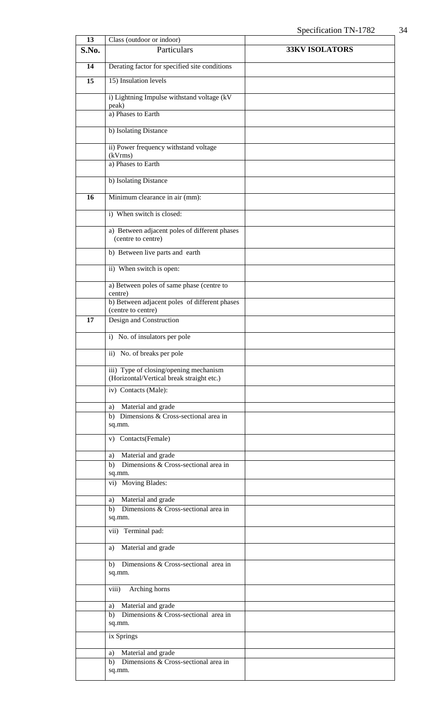| 13    | Class (outdoor or indoor)                                                           |                       |
|-------|-------------------------------------------------------------------------------------|-----------------------|
| S.No. | Particulars                                                                         | <b>33KV ISOLATORS</b> |
| 14    | Derating factor for specified site conditions                                       |                       |
| 15    | 15) Insulation levels                                                               |                       |
|       | i) Lightning Impulse withstand voltage (kV<br>peak)                                 |                       |
|       | a) Phases to Earth                                                                  |                       |
|       | b) Isolating Distance                                                               |                       |
|       | ii) Power frequency withstand voltage<br>(kVrms)                                    |                       |
|       | a) Phases to Earth                                                                  |                       |
|       | b) Isolating Distance                                                               |                       |
| 16    | Minimum clearance in air (mm):                                                      |                       |
|       | i) When switch is closed:                                                           |                       |
|       | a) Between adjacent poles of different phases<br>(centre to centre)                 |                       |
|       | b) Between live parts and earth                                                     |                       |
|       | ii) When switch is open:                                                            |                       |
|       | a) Between poles of same phase (centre to<br>centre)                                |                       |
|       | b) Between adjacent poles of different phases                                       |                       |
| 17    | (centre to centre)<br>Design and Construction                                       |                       |
|       | i) No. of insulators per pole                                                       |                       |
|       | ii) No. of breaks per pole                                                          |                       |
|       | iii) Type of closing/opening mechanism<br>(Horizontal/Vertical break straight etc.) |                       |
|       | iv) Contacts (Male):                                                                |                       |
|       | a) Material and grade                                                               |                       |
|       | b) Dimensions & Cross-sectional area in<br>sq.mm.                                   |                       |
|       | v) Contacts(Female)                                                                 |                       |
|       | a) Material and grade                                                               |                       |
|       | b) Dimensions & Cross-sectional area in                                             |                       |
|       | sq.mm.<br>vi) Moving Blades:                                                        |                       |
|       |                                                                                     |                       |
|       | a) Material and grade                                                               |                       |
|       | b) Dimensions & Cross-sectional area in<br>sq.mm.                                   |                       |
|       | vii) Terminal pad:                                                                  |                       |
|       | Material and grade<br>a)                                                            |                       |
|       | b) Dimensions & Cross-sectional area in<br>sq.mm.                                   |                       |
|       | viii)<br>Arching horns                                                              |                       |
|       | Material and grade<br>a)                                                            |                       |
|       | b) Dimensions $& Cross-sectional area in$<br>sq.mm.                                 |                       |
|       | ix Springs                                                                          |                       |
|       | Material and grade<br>a)                                                            |                       |
|       | Dimensions $& Cross-sectional area in$<br>b)<br>sq.mm.                              |                       |
|       |                                                                                     |                       |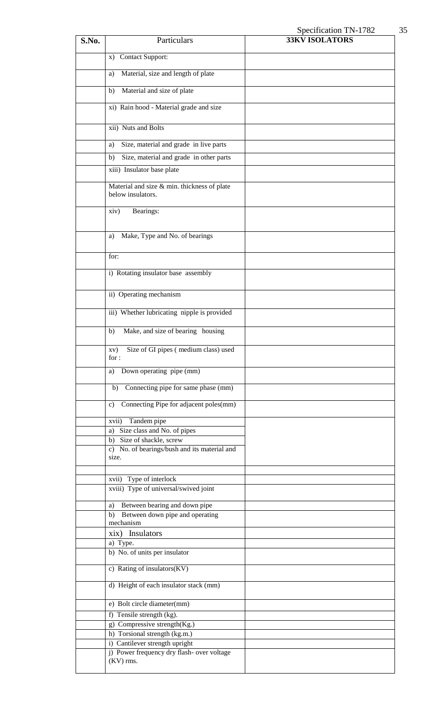# Specification TN-1782 35

| S.No. | Particulars                                                      | $\mathcal{L}$<br><b>33KV ISOLATORS</b> |
|-------|------------------------------------------------------------------|----------------------------------------|
|       | <b>Contact Support:</b><br>$\mathbf{x})$                         |                                        |
|       |                                                                  |                                        |
|       | Material, size and length of plate<br>a)                         |                                        |
|       | Material and size of plate<br>b)                                 |                                        |
|       | xi) Rain hood - Material grade and size                          |                                        |
|       | xii) Nuts and Bolts                                              |                                        |
|       | Size, material and grade in live parts<br>a)                     |                                        |
|       | Size, material and grade in other parts<br>b)                    |                                        |
|       | xiii) Insulator base plate                                       |                                        |
|       | Material and size & min. thickness of plate<br>below insulators. |                                        |
|       | Bearings:<br>xiv)                                                |                                        |
|       |                                                                  |                                        |
|       | Make, Type and No. of bearings<br>a)                             |                                        |
|       | for:                                                             |                                        |
|       | i) Rotating insulator base assembly                              |                                        |
|       | ii) Operating mechanism                                          |                                        |
|       | iii) Whether lubricating nipple is provided                      |                                        |
|       | Make, and size of bearing housing<br>b)                          |                                        |
|       | xv) Size of GI pipes (medium class) used<br>for :                |                                        |
|       | Down operating pipe (mm)<br>a)                                   |                                        |
|       | Connecting pipe for same phase (mm)<br>b)                        |                                        |
|       | Connecting Pipe for adjacent poles(mm)<br>c)                     |                                        |
|       | Tandem pipe<br>xvii)                                             |                                        |
|       | a) Size class and No. of pipes<br>b) Size of shackle, screw      |                                        |
|       | c) No. of bearings/bush and its material and<br>size.            |                                        |
|       |                                                                  |                                        |
|       | xvii) Type of interlock<br>xviii) Type of universal/swived joint |                                        |
|       | Between bearing and down pipe<br>a)                              |                                        |
|       | Between down pipe and operating<br>b)<br>mechanism               |                                        |
|       | xix) Insulators                                                  |                                        |
|       | a) Type.<br>b) No. of units per insulator                        |                                        |
|       | c) Rating of insulators(KV)                                      |                                        |
|       | d) Height of each insulator stack (mm)                           |                                        |
|       | e) Bolt circle diameter(mm)                                      |                                        |
|       | f) Tensile strength (kg).                                        |                                        |
|       | g) Compressive strength(Kg.)<br>h) Torsional strength (kg.m.)    |                                        |
|       | i) Cantilever strength upright                                   |                                        |
|       | j) Power frequency dry flash- over voltage                       |                                        |
|       | $(KV)$ rms.                                                      |                                        |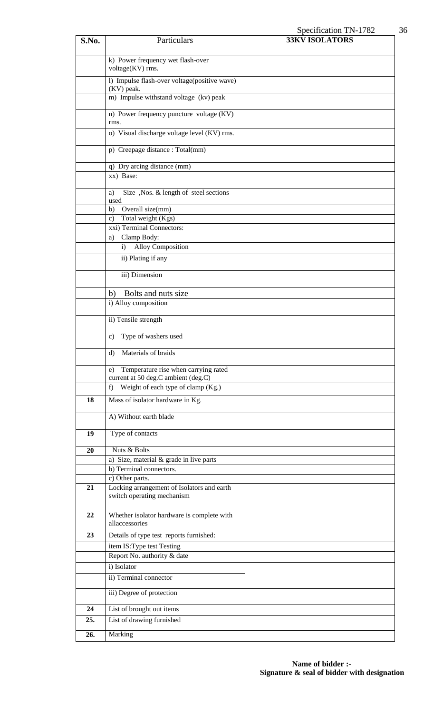# Specification TN-1782 36

| S.No. | Particulars                                                                       | <b>33KV ISOLATORS</b> |
|-------|-----------------------------------------------------------------------------------|-----------------------|
|       | k) Power frequency wet flash-over<br>voltage(KV) rms.                             |                       |
|       | 1) Impulse flash-over voltage(positive wave)<br>(KV) peak.                        |                       |
|       | m) Impulse withstand voltage (kv) peak                                            |                       |
|       | n) Power frequency puncture voltage (KV)<br>rms.                                  |                       |
|       | o) Visual discharge voltage level (KV) rms.                                       |                       |
|       | p) Creepage distance : Total(mm)                                                  |                       |
|       | q) Dry arcing distance (mm)<br>xx) Base:                                          |                       |
|       | Size , Nos. & length of steel sections<br>a)<br>used                              |                       |
|       | Overall size(mm)<br>b)                                                            |                       |
|       | Total weight (Kgs)<br>$\mathbf{c})$                                               |                       |
|       | xxi) Terminal Connectors:                                                         |                       |
|       | Clamp Body:<br>a)                                                                 |                       |
|       | Alloy Composition<br>i)                                                           |                       |
|       | ii) Plating if any                                                                |                       |
|       | iii) Dimension                                                                    |                       |
|       | Bolts and nuts size<br>b)                                                         |                       |
|       | i) Alloy composition                                                              |                       |
|       | ii) Tensile strength                                                              |                       |
|       | Type of washers used<br>c)                                                        |                       |
|       | Materials of braids<br>d)                                                         |                       |
|       | Temperature rise when carrying rated<br>e)<br>current at 50 deg.C ambient (deg.C) |                       |
|       | Weight of each type of clamp (Kg.)<br>f)                                          |                       |
| 18    | Mass of isolator hardware in Kg.                                                  |                       |
|       | A) Without earth blade                                                            |                       |
| 19    | Type of contacts                                                                  |                       |
| 20    | Nuts & Bolts                                                                      |                       |
|       | a) Size, material $\&$ grade in live parts                                        |                       |
|       | b) Terminal connectors.                                                           |                       |
|       | c) Other parts.                                                                   |                       |
| 21    | Locking arrangement of Isolators and earth<br>switch operating mechanism          |                       |
| 22    | Whether isolator hardware is complete with<br>allaccessories                      |                       |
| 23    | Details of type test reports furnished:                                           |                       |
|       | item IS: Type test Testing                                                        |                       |
|       | Report No. authority & date                                                       |                       |
|       | i) Isolator                                                                       |                       |
|       | ii) Terminal connector                                                            |                       |
|       | iii) Degree of protection                                                         |                       |
| 24    | List of brought out items                                                         |                       |
| 25.   | List of drawing furnished                                                         |                       |
| 26.   | Marking                                                                           |                       |
|       |                                                                                   |                       |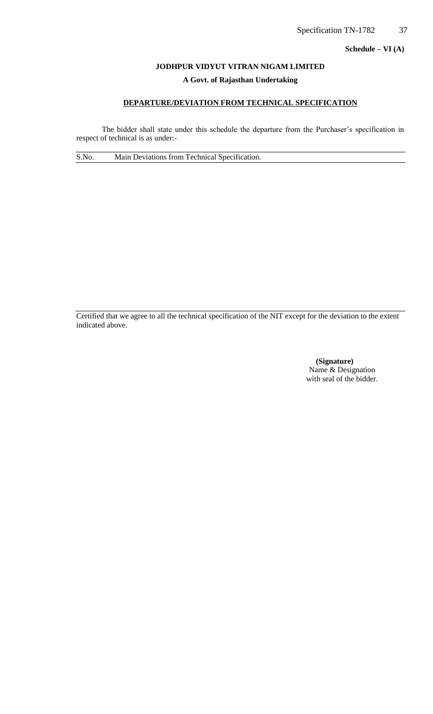**Schedule – VI (A)**

## **JODHPUR VIDYUT VITRAN NIGAM LIMITED**

## **A Govt. of Rajasthan Undertaking**

## **DEPARTURE/DEVIATION FROM TECHNICAL SPECIFICATION**

The bidder shall state under this schedule the departure from the Purchaser's specification in respect of technical is as under:-

S.No. Main Deviations from Technical Specification.

Certified that we agree to all the technical specification of the NIT except for the deviation to the extent indicated above.

> **(Signature)** Name & Designation with seal of the bidder.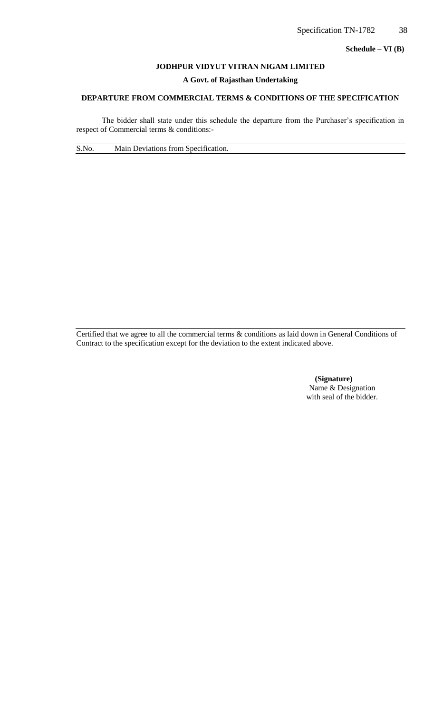**Schedule – VI (B)**

## **JODHPUR VIDYUT VITRAN NIGAM LIMITED**

#### **A Govt. of Rajasthan Undertaking**

# **DEPARTURE FROM COMMERCIAL TERMS & CONDITIONS OF THE SPECIFICATION**

The bidder shall state under this schedule the departure from the Purchaser's specification in respect of Commercial terms & conditions:-

S.No. Main Deviations from Specification.

Certified that we agree to all the commercial terms & conditions as laid down in General Conditions of Contract to the specification except for the deviation to the extent indicated above.

> **(Signature)** Name & Designation with seal of the bidder.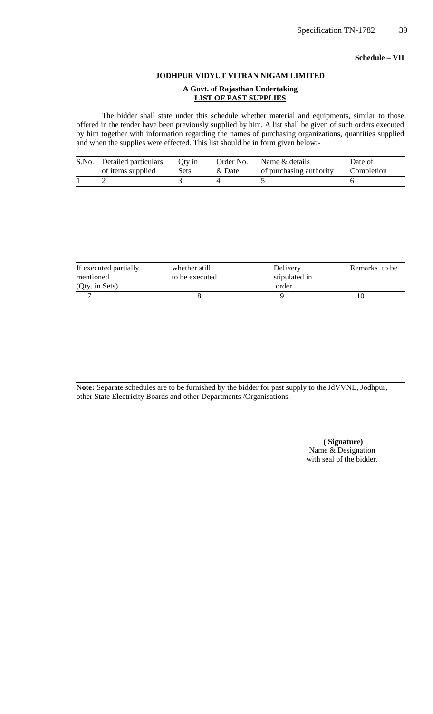## **Schedule – VII**

#### **JODHPUR VIDYUT VITRAN NIGAM LIMITED**

#### **A Govt. of Rajasthan Undertaking LIST OF PAST SUPPLIES**

The bidder shall state under this schedule whether material and equipments, similar to those offered in the tender have been previously supplied by him. A list shall be given of such orders executed by him together with information regarding the names of purchasing organizations, quantities supplied and when the supplies were effected. This list should be in form given below:-

| S.No. | Detailed particulars | Oty in | Order No. | Name & details          | Date of    |
|-------|----------------------|--------|-----------|-------------------------|------------|
|       | of items supplied    | Sets   | & Date    | of purchasing authority | Completion |
|       |                      |        |           |                         |            |

| If executed partially<br>mentioned | whether still<br>to be executed | Delivery<br>stipulated in | Remarks to be |
|------------------------------------|---------------------------------|---------------------------|---------------|
| (Qty. in Sets)                     |                                 | order                     |               |
|                                    |                                 |                           |               |

**Note:** Separate schedules are to be furnished by the bidder for past supply to the JdVVNL, Jodhpur, other State Electricity Boards and other Departments /Organisations.

> **( Signature)** Name & Designation with seal of the bidder.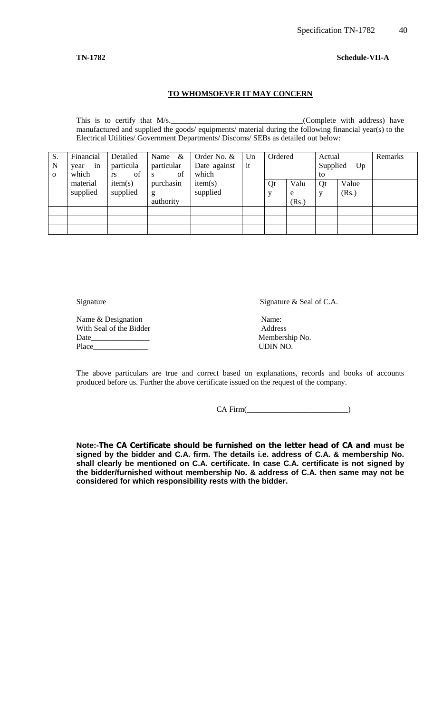#### **TN-1782 Schedule-VII-A**

# **TO WHOMSOEVER IT MAY CONCERN**

This is to certify that M/s.\_\_\_\_\_\_\_\_\_\_\_\_\_\_\_\_\_\_\_\_\_\_\_\_\_\_\_\_\_\_\_\_\_\_(Complete with address) have manufactured and supplied the goods/ equipments/ material during the following financial year(s) to the Electrical Utilities/ Government Departments/ Discoms/ SEBs as detailed out below:

| S.<br>N<br>$\Omega$ | Financial<br>in<br>year<br>which | Detailed<br>particula<br>of<br>rs | Name $\&$<br>particular<br>of<br>S | Order No. &<br>Date against<br>which | Un<br>it | Ordered |                    | Actual<br>Supplied<br>to | Up             | Remarks |
|---------------------|----------------------------------|-----------------------------------|------------------------------------|--------------------------------------|----------|---------|--------------------|--------------------------|----------------|---------|
|                     | material<br>supplied             | item(s)<br>supplied               | purchasin<br>g<br>authority        | item(s)<br>supplied                  |          | Qt      | Valu<br>e<br>(Rs.) | Qt                       | Value<br>(Rs.) |         |
|                     |                                  |                                   |                                    |                                      |          |         |                    |                          |                |         |
|                     |                                  |                                   |                                    |                                      |          |         |                    |                          |                |         |

Signature Signature  $\&$  Seal of C.A.

Name & Designation Name:<br>
With Seal of the Bidder Address With Seal of the Bidder Date\_\_\_\_\_\_\_\_\_\_\_\_\_\_\_ Membership No. Place\_\_\_\_\_\_\_\_\_\_\_\_\_\_ UDIN NO.

The above particulars are true and correct based on explanations, records and books of accounts produced before us. Further the above certificate issued on the request of the company.

CA Firm(

**Note:-The CA Certificate should be furnished on the letter head of CA and must be signed by the bidder and C.A. firm. The details i.e. address of C.A. & membership No. shall clearly be mentioned on C.A. certificate. In case C.A. certificate is not signed by the bidder/furnished without membership No. & address of C.A. then same may not be considered for which responsibility rests with the bidder.**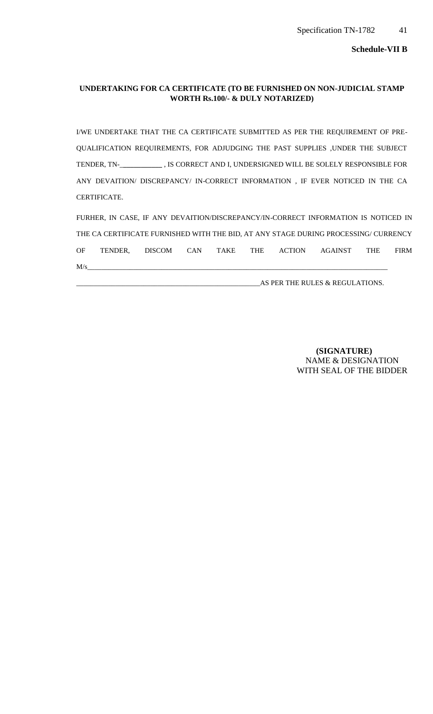**Schedule-VII B**

## **UNDERTAKING FOR CA CERTIFICATE (TO BE FURNISHED ON NON-JUDICIAL STAMP WORTH Rs.100/- & DULY NOTARIZED)**

I/WE UNDERTAKE THAT THE CA CERTIFICATE SUBMITTED AS PER THE REQUIREMENT OF PRE-QUALIFICATION REQUIREMENTS, FOR ADJUDGING THE PAST SUPPLIES ,UNDER THE SUBJECT TENDER, TN-\_**\_\_\_\_\_\_\_\_\_\_\_** , IS CORRECT AND I, UNDERSIGNED WILL BE SOLELY RESPONSIBLE FOR ANY DEVAITION/ DISCREPANCY/ IN-CORRECT INFORMATION , IF EVER NOTICED IN THE CA CERTIFICATE.

FURHER, IN CASE, IF ANY DEVAITION/DISCREPANCY/IN-CORRECT INFORMATION IS NOTICED IN THE CA CERTIFICATE FURNISHED WITH THE BID, AT ANY STAGE DURING PROCESSING/ CURRENCY OF TENDER, DISCOM CAN TAKE THE ACTION AGAINST THE FIRM  ${\sf M/s}$  , and the set of the set of the set of the set of the set of the set of the set of the set of the set of the set of the set of the set of the set of the set of the set of the set of the set of the set of the set o

\_\_\_\_\_\_\_\_\_\_\_\_\_\_\_\_\_\_\_\_\_\_\_\_\_\_\_\_\_\_\_\_\_\_\_\_\_\_\_\_\_\_\_\_\_\_\_\_\_\_\_\_AS PER THE RULES & REGULATIONS.

 **(SIGNATURE)** NAME & DESIGNATION WITH SEAL OF THE BIDDER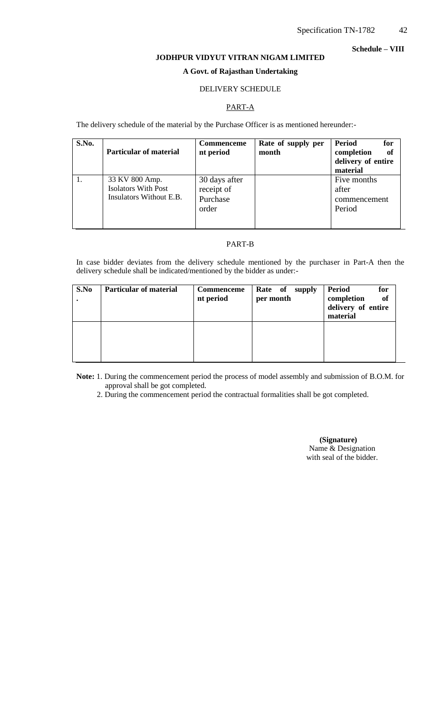#### **Schedule – VIII**

# **JODHPUR VIDYUT VITRAN NIGAM LIMITED A Govt. of Rajasthan Undertaking**

## DELIVERY SCHEDULE

## PART-A

The delivery schedule of the material by the Purchase Officer is as mentioned hereunder:-

| S.No. | <b>Particular of material</b>                                           | <b>Commenceme</b><br>nt period                   | Rate of supply per<br>month | Period<br>for<br>of<br>completion<br>delivery of entire<br>material |
|-------|-------------------------------------------------------------------------|--------------------------------------------------|-----------------------------|---------------------------------------------------------------------|
|       | 33 KV 800 Amp.<br><b>Isolators With Post</b><br>Insulators Without E.B. | 30 days after<br>receipt of<br>Purchase<br>order |                             | Five months<br>after<br>commencement<br>Period                      |

#### PART-B

In case bidder deviates from the delivery schedule mentioned by the purchaser in Part-A then the delivery schedule shall be indicated/mentioned by the bidder as under:-

| S.No | <b>Particular of material</b> | Commenceme<br>nt period | Rate of<br>supply<br>per month | <b>Period</b><br>for<br>completion<br><b>of</b><br>delivery of entire<br>material |
|------|-------------------------------|-------------------------|--------------------------------|-----------------------------------------------------------------------------------|
|      |                               |                         |                                |                                                                                   |

**Note:** 1. During the commencement period the process of model assembly and submission of B.O.M. for approval shall be got completed.

2. During the commencement period the contractual formalities shall be got completed.

 **(Signature)** Name & Designation with seal of the bidder.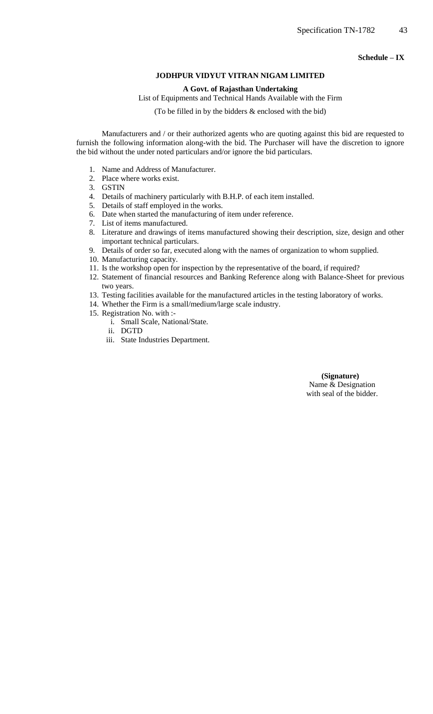**Schedule – IX**

#### **JODHPUR VIDYUT VITRAN NIGAM LIMITED**

#### **A Govt. of Rajasthan Undertaking**

List of Equipments and Technical Hands Available with the Firm

(To be filled in by the bidders & enclosed with the bid)

Manufacturers and / or their authorized agents who are quoting against this bid are requested to furnish the following information along-with the bid. The Purchaser will have the discretion to ignore the bid without the under noted particulars and/or ignore the bid particulars.

- 1. Name and Address of Manufacturer.
- 2. Place where works exist.
- 3. GSTIN
- 4. Details of machinery particularly with B.H.P. of each item installed.
- 5. Details of staff employed in the works.
- 6. Date when started the manufacturing of item under reference.
- 7. List of items manufactured.
- 8. Literature and drawings of items manufactured showing their description, size, design and other important technical particulars.
- 9. Details of order so far, executed along with the names of organization to whom supplied.
- 10. Manufacturing capacity.
- 11. Is the workshop open for inspection by the representative of the board, if required?
- 12. Statement of financial resources and Banking Reference along with Balance-Sheet for previous two years.
- 13. Testing facilities available for the manufactured articles in the testing laboratory of works.
- 14. Whether the Firm is a small/medium/large scale industry.
- 15. Registration No. with :
	- i. Small Scale, National/State.
	- ii. DGTD
	- iii. State Industries Department.

 **(Signature)** Name & Designation with seal of the bidder.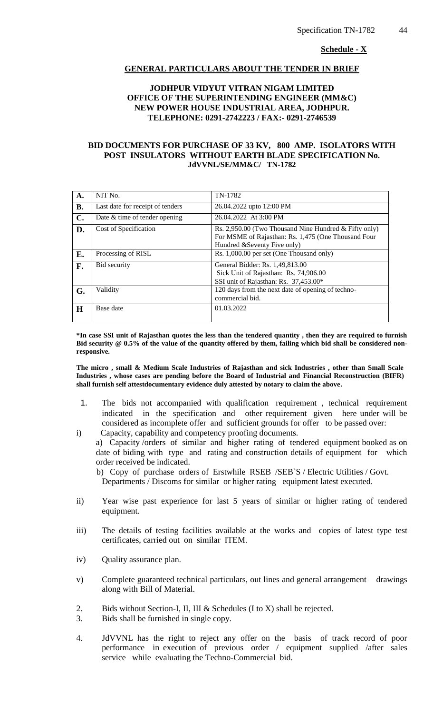#### **Schedule - X**

#### **GENERAL PARTICULARS ABOUT THE TENDER IN BRIEF**

## **JODHPUR VIDYUT VITRAN NIGAM LIMITED OFFICE OF THE SUPERINTENDING ENGINEER (MM&C) NEW POWER HOUSE INDUSTRIAL AREA, JODHPUR. TELEPHONE: 0291-2742223 / FAX:- 0291-2746539**

#### **BID DOCUMENTS FOR PURCHASE OF 33 KV, 800 AMP. ISOLATORS WITH POST INSULATORS WITHOUT EARTH BLADE SPECIFICATION No. JdVVNL/SE/MM&C/ TN-1782**

| A.        | NIT No.                          | TN-1782                                                                                                                                      |
|-----------|----------------------------------|----------------------------------------------------------------------------------------------------------------------------------------------|
| <b>B.</b> | Last date for receipt of tenders | 26.04.2022 upto 12:00 PM                                                                                                                     |
| C.        | Date & time of tender opening    | 26.04.2022 At 3:00 PM                                                                                                                        |
| D.        | Cost of Specification            | Rs. 2,950.00 (Two Thousand Nine Hundred & Fifty only)<br>For MSME of Rajasthan: Rs. 1,475 (One Thousand Four<br>Hundred & Seventy Five only) |
| E.        | Processing of RISL               | Rs. 1,000.00 per set (One Thousand only)                                                                                                     |
| F.        | Bid security                     | General Bidder: Rs. 1,49,813.00<br>Sick Unit of Rajasthan: Rs. 74,906.00<br>SSI unit of Rajasthan: Rs. 37,453.00*                            |
| G.        | Validity                         | 120 days from the next date of opening of techno-<br>commercial bid.                                                                         |
| $\bf H$   | Base date                        | 01.03.2022                                                                                                                                   |

**\*In case SSI unit of Rajasthan quotes the less than the tendered quantity , then they are required to furnish Bid security @ 0.5% of the value of the quantity offered by them, failing which bid shall be considered nonresponsive.**

**The micro , small & Medium Scale Industries of Rajasthan and sick Industries , other than Small Scale Industries , whose cases are pending before the Board of Industrial and Financial Reconstruction (BIFR) shall furnish self attestdocumentary evidence duly attested by notary to claim the above.**

- 1. The bids not accompanied with qualification requirement , technical requirement indicated in the specification and other requirement given here under will be considered as incomplete offer and sufficient grounds for offer to be passed over:
- i) Capacity, capability and competency proofing documents. a) Capacity /orders of similar and higher rating of tendered equipment booked as on date of biding with type and rating and construction details of equipment for which order received be indicated.

 b) Copy of purchase orders of Erstwhile RSEB /SEB`S / Electric Utilities / Govt. Departments / Discoms for similar or higher rating equipment latest executed.

- ii) Year wise past experience for last 5 years of similar or higher rating of tendered equipment.
- iii) The details of testing facilities available at the works and copies of latest type test certificates, carried out on similar ITEM.
- iv) Quality assurance plan.
- v) Complete guaranteed technical particulars, out lines and general arrangement drawings along with Bill of Material.
- 2. Bids without Section-I, II, III & Schedules (I to X) shall be rejected.
- 3. Bids shall be furnished in single copy.
- 4. JdVVNL has the right to reject any offer on the basis of track record of poor performance in execution of previous order / equipment supplied /after sales service while evaluating the Techno-Commercial bid.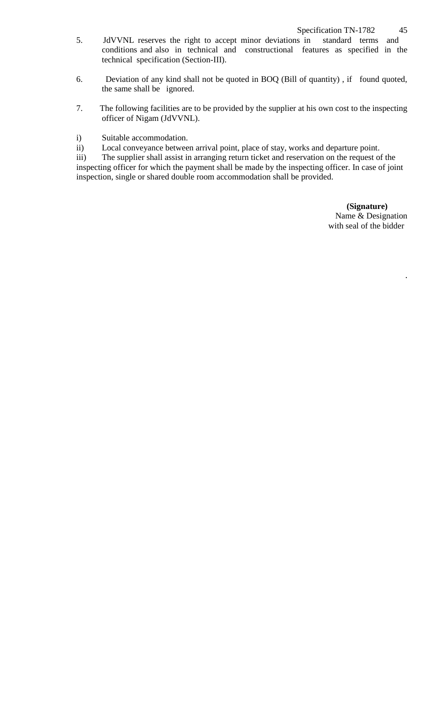- 5. JdVVNL reserves the right to accept minor deviations in standard terms and conditions and also in technical and constructional features as specified in the technical specification (Section-III).
- 6. Deviation of any kind shall not be quoted in BOQ (Bill of quantity) , if found quoted, the same shall be ignored.
- 7. The following facilities are to be provided by the supplier at his own cost to the inspecting officer of Nigam (JdVVNL).
- i) Suitable accommodation.
- ii) Local conveyance between arrival point, place of stay, works and departure point.

iii) The supplier shall assist in arranging return ticket and reservation on the request of the inspecting officer for which the payment shall be made by the inspecting officer. In case of joint inspection, single or shared double room accommodation shall be provided.

> **(Signature)** Name & Designation with seal of the bidder

> > .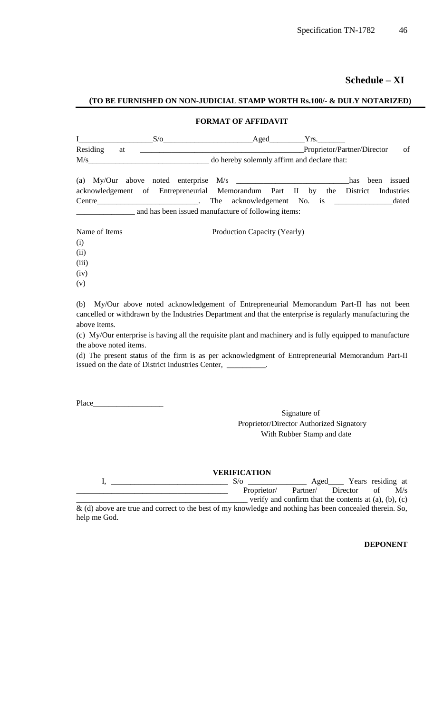**Schedule – XI**

# **(TO BE FURNISHED ON NON-JUDICIAL STAMP WORTH Rs.100/- & DULY NOTARIZED)**

## **FORMAT OF AFFIDAVIT**

|          |  | Aged                                        |                             |    |
|----------|--|---------------------------------------------|-----------------------------|----|
| Residing |  |                                             | Proprietor/Partner/Director | of |
| M/s      |  | do hereby solemnly affirm and declare that: |                             |    |

|        |                                                     |  |  | (a) $My/Our$ above noted enterprise $M/s$                                        |  |                            |  |  |  | has been issued |
|--------|-----------------------------------------------------|--|--|----------------------------------------------------------------------------------|--|----------------------------|--|--|--|-----------------|
|        |                                                     |  |  | acknowledgement of Entrepreneurial Memorandum Part II by the District Industries |  |                            |  |  |  |                 |
| Centre |                                                     |  |  |                                                                                  |  | The acknowledgement No. is |  |  |  | dated           |
|        | and has been issued manufacture of following items: |  |  |                                                                                  |  |                            |  |  |  |                 |

| Name of Items | Production Capacity (Yearly) |
|---------------|------------------------------|
| (i)           |                              |
| (ii)          |                              |
| (iii)         |                              |
| (iv)          |                              |
| (v)           |                              |

(b) My/Our above noted acknowledgement of Entrepreneurial Memorandum Part-II has not been cancelled or withdrawn by the Industries Department and that the enterprise is regularly manufacturing the above items.

(c) My/Our enterprise is having all the requisite plant and machinery and is fully equipped to manufacture the above noted items.

(d) The present status of the firm is as per acknowledgment of Entrepreneurial Memorandum Part-II issued on the date of District Industries Center, \_\_\_\_\_\_\_\_\_\_.

Place\_\_\_\_\_

help me God.

Signature of Proprietor/Director Authorized Signatory With Rubber Stamp and date

#### **VERIFICATION**

|                                                                                                             | S/O         | Aged     | Years residing at                                             |    |     |
|-------------------------------------------------------------------------------------------------------------|-------------|----------|---------------------------------------------------------------|----|-----|
|                                                                                                             | Proprietor/ | Partner/ | Director                                                      | οf | M/s |
|                                                                                                             |             |          | verify and confirm that the contents at $(a)$ , $(b)$ , $(c)$ |    |     |
| $\&$ (d) above are true and correct to the best of my knowledge and nothing has been concealed therein. So, |             |          |                                                               |    |     |

**DEPONENT**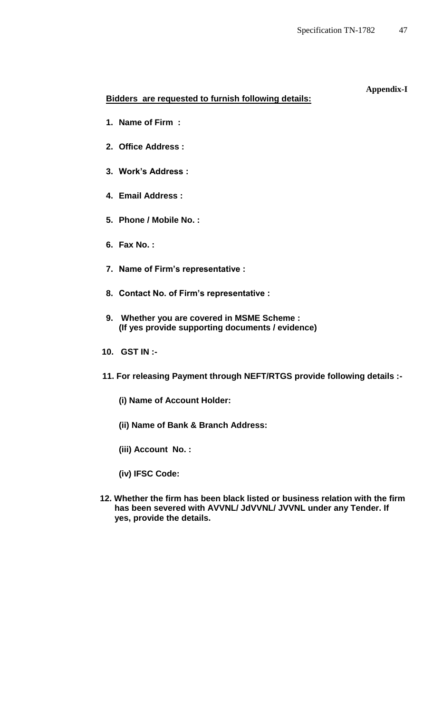# **Appendix-I**

# **Bidders are requested to furnish following details:**

- **1. Name of Firm :**
- **2. Office Address :**
- **3. Work's Address :**
- **4. Email Address :**
- **5. Phone / Mobile No. :**
- **6. Fax No. :**
- **7. Name of Firm's representative :**
- **8. Contact No. of Firm's representative :**
- **9. Whether you are covered in MSME Scheme : (If yes provide supporting documents / evidence)**
- **10. GST IN :-**
- **11. For releasing Payment through NEFT/RTGS provide following details :-**
	- **(i) Name of Account Holder:**
	- **(ii) Name of Bank & Branch Address:**
	- **(iii) Account No. :**
	- **(iv) IFSC Code:**
- **12. Whether the firm has been black listed or business relation with the firm has been severed with AVVNL/ JdVVNL/ JVVNL under any Tender. If yes, provide the details.**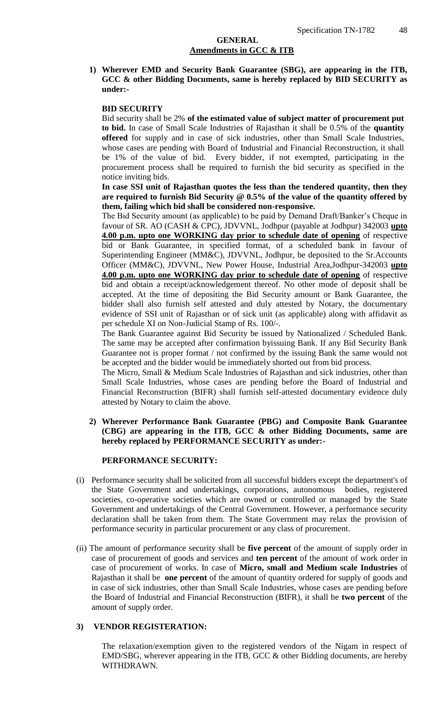## **GENERAL Amendments in GCC & ITB**

**1) Wherever EMD and Security Bank Guarantee (SBG), are appearing in the ITB, GCC & other Bidding Documents, same is hereby replaced by BID SECURITY as under:-**

## **BID SECURITY**

Bid security shall be 2% **of the estimated value of subject matter of procurement put to bid.** In case of Small Scale Industries of Rajasthan it shall be 0.5% of the **quantity offered** for supply and in case of sick industries, other than Small Scale Industries, whose cases are pending with Board of Industrial and Financial Reconstruction, it shall be 1% of the value of bid. Every bidder, if not exempted, participating in the procurement process shall be required to furnish the bid security as specified in the notice inviting bids.

**In case SSI unit of Rajasthan quotes the less than the tendered quantity, then they are required to furnish Bid Security @ 0.5% of the value of the quantity offered by them, failing which bid shall be considered non-responsive.** 

The Bid Security amount (as applicable) to be paid by Demand Draft/Banker"s Cheque in favour of SR. AO (CASH & CPC), JDVVNL, Jodhpur (payable at Jodhpur) 342003 **upto 4.00 p.m. upto one WORKING day prior to schedule date of opening** of respective bid or Bank Guarantee, in specified format, of a scheduled bank in favour of Superintending Engineer (MM&C), JDVVNL, Jodhpur, be deposited to the Sr.Accounts Officer (MM&C), JDVVNL, New Power House, Industrial Area,Jodhpur-342003 **upto 4.00 p.m. upto one WORKING day prior to schedule date of opening** of respective bid and obtain a receipt/acknowledgement thereof. No other mode of deposit shall be accepted. At the time of depositing the Bid Security amount or Bank Guarantee, the bidder shall also furnish self attested and duly attested by Notary, the documentary evidence of SSI unit of Rajasthan or of sick unit (as applicable) along with affidavit as per schedule XI on Non-Judicial Stamp of Rs. 100/-.

The Bank Guarantee against Bid Security be issued by Nationalized / Scheduled Bank. The same may be accepted after confirmation byissuing Bank. If any Bid Security Bank Guarantee not is proper format / not confirmed by the issuing Bank the same would not be accepted and the bidder would be immediately shorted out from bid process.

The Micro, Small & Medium Scale Industries of Rajasthan and sick industries, other than Small Scale Industries, whose cases are pending before the Board of Industrial and Financial Reconstruction (BIFR) shall furnish self-attested documentary evidence duly attested by Notary to claim the above.

## **2) Wherever Performance Bank Guarantee (PBG) and Composite Bank Guarantee (CBG) are appearing in the ITB, GCC & other Bidding Documents, same are hereby replaced by PERFORMANCE SECURITY as under:-**

#### **PERFORMANCE SECURITY:**

- (i) Performance security shall be solicited from all successful bidders except the department's of the State Government and undertakings, corporations, autonomous bodies, registered societies, co-operative societies which are owned or controlled or managed by the State Government and undertakings of the Central Government. However, a performance security declaration shall be taken from them. The State Government may relax the provision of performance security in particular procurement or any class of procurement.
- (ii) The amount of performance security shall be **five percent** of the amount of supply order in case of procurement of goods and services and **ten percent** of the amount of work order in case of procurement of works. In case of **Micro, small and Medium scale Industries** of Rajasthan it shall be **one percent** of the amount of quantity ordered for supply of goods and in case of sick industries, other than Small Scale Industries, whose cases are pending before the Board of Industrial and Financial Reconstruction (BIFR), it shall be **two percent** of the amount of supply order.

#### **3) VENDOR REGISTERATION:**

The relaxation/exemption given to the registered vendors of the Nigam in respect of EMD/SBG, wherever appearing in the ITB, GCC & other Bidding documents, are hereby WITHDRAWN.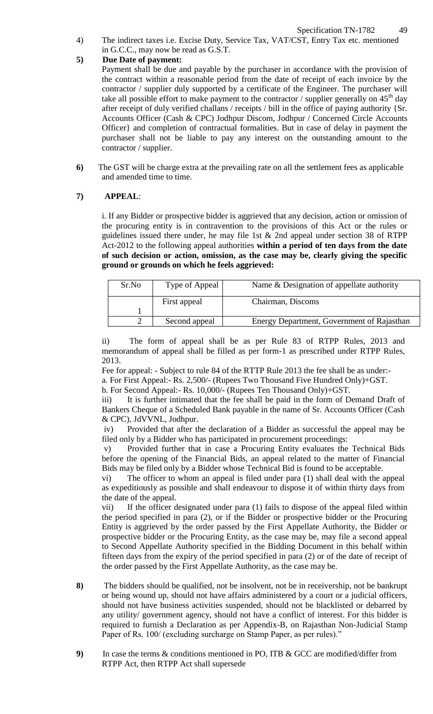4) The indirect taxes i.e. Excise Duty, Service Tax, VAT/CST, Entry Tax etc. mentioned in G.C.C., may now be read as G.S.T.

## **5) Due Date of payment:**

Payment shall be due and payable by the purchaser in accordance with the provision of the contract within a reasonable period from the date of receipt of each invoice by the contractor / supplier duly supported by a certificate of the Engineer. The purchaser will take all possible effort to make payment to the contractor / supplier generally on  $45<sup>th</sup>$  day after receipt of duly verified challans / receipts / bill in the office of paying authority {Sr. Accounts Officer (Cash & CPC) Jodhpur Discom, Jodhpur / Concerned Circle Accounts Officer} and completion of contractual formalities. But in case of delay in payment the purchaser shall not be liable to pay any interest on the outstanding amount to the contractor / supplier.

**6)** The GST will be charge extra at the prevailing rate on all the settlement fees as applicable and amended time to time.

## **7) APPEAL**:

i. If any Bidder or prospective bidder is aggrieved that any decision, action or omission of the procuring entity is in contravention to the provisions of this Act or the rules or guidelines issued there under, he may file 1st & 2nd appeal under section 38 of RTPP Act-2012 to the following appeal authorities **within a period of ten days from the date of such decision or action, omission, as the case may be, clearly giving the specific ground or grounds on which he feels aggrieved:** 

| Sr.No | Type of Appeal | Name & Designation of appellate authority  |  |  |
|-------|----------------|--------------------------------------------|--|--|
|       | First appeal   | Chairman, Discoms                          |  |  |
|       |                |                                            |  |  |
|       | Second appeal  | Energy Department, Government of Rajasthan |  |  |

ii) The form of appeal shall be as per Rule 83 of RTPP Rules, 2013 and memorandum of appeal shall be filled as per form-1 as prescribed under RTPP Rules, 2013.

Fee for appeal: - Subject to rule 84 of the RTTP Rule 2013 the fee shall be as under: a. For First Appeal:- Rs. 2,500/- (Rupees Two Thousand Five Hundred Only)+GST.

b. For Second Appeal:- Rs. 10,000/- (Rupees Ten Thousand Only)+GST.

iii) It is further intimated that the fee shall be paid in the form of Demand Draft of Bankers Cheque of a Scheduled Bank payable in the name of Sr. Accounts Officer (Cash & CPC), JdVVNL, Jodhpur.

iv) Provided that after the declaration of a Bidder as successful the appeal may be filed only by a Bidder who has participated in procurement proceedings:

v) Provided further that in case a Procuring Entity evaluates the Technical Bids before the opening of the Financial Bids, an appeal related to the matter of Financial Bids may be filed only by a Bidder whose Technical Bid is found to be acceptable.

vi) The officer to whom an appeal is filed under para (1) shall deal with the appeal as expeditiously as possible and shall endeavour to dispose it of within thirty days from the date of the appeal.

vii) If the officer designated under para (1) fails to dispose of the appeal filed within the period specified in para (2), or if the Bidder or prospective bidder or the Procuring Entity is aggrieved by the order passed by the First Appellate Authority, the Bidder or prospective bidder or the Procuring Entity, as the case may be, may file a second appeal to Second Appellate Authority specified in the Bidding Document in this behalf within fifteen days from the expiry of the period specified in para (2) or of the date of receipt of the order passed by the First Appellate Authority, as the case may be.

- **8)** The bidders should be qualified, not be insolvent, not be in receivership, not be bankrupt or being wound up, should not have affairs administered by a court or a judicial officers, should not have business activities suspended, should not be blacklisted or debarred by any utility/ government agency, should not have a conflict of interest. For this bidder is required to furnish a Declaration as per Appendix-B, on Rajasthan Non-Judicial Stamp Paper of Rs. 100/ (excluding surcharge on Stamp Paper, as per rules)."
- **9)** In case the terms & conditions mentioned in PO, ITB & GCC are modified/differ from RTPP Act, then RTPP Act shall supersede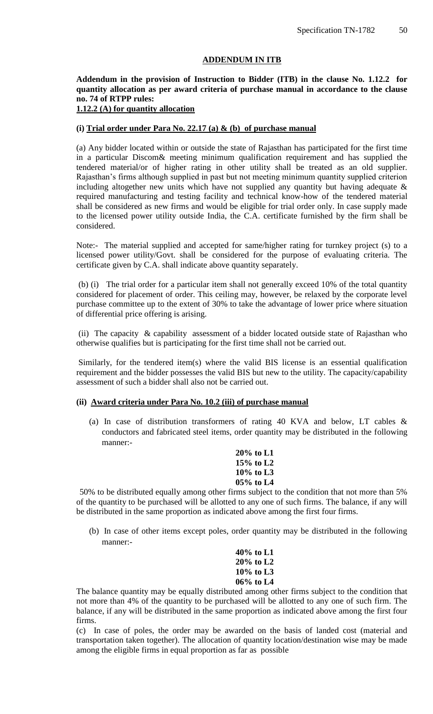## **ADDENDUM IN ITB**

# **Addendum in the provision of Instruction to Bidder (ITB) in the clause No. 1.12.2 for quantity allocation as per award criteria of purchase manual in accordance to the clause no. 74 of RTPP rules:**

## **1.12.2 (A) for quantity allocation**

#### **(i) Trial order under Para No. 22.17 (a) & (b) of purchase manual**

(a) Any bidder located within or outside the state of Rajasthan has participated for the first time in a particular Discom& meeting minimum qualification requirement and has supplied the tendered material/or of higher rating in other utility shall be treated as an old supplier. Rajasthan"s firms although supplied in past but not meeting minimum quantity supplied criterion including altogether new units which have not supplied any quantity but having adequate  $\&$ required manufacturing and testing facility and technical know-how of the tendered material shall be considered as new firms and would be eligible for trial order only. In case supply made to the licensed power utility outside India, the C.A. certificate furnished by the firm shall be considered.

Note:- The material supplied and accepted for same/higher rating for turnkey project (s) to a licensed power utility/Govt. shall be considered for the purpose of evaluating criteria. The certificate given by C.A. shall indicate above quantity separately.

(b) (i) The trial order for a particular item shall not generally exceed 10% of the total quantity considered for placement of order. This ceiling may, however, be relaxed by the corporate level purchase committee up to the extent of 30% to take the advantage of lower price where situation of differential price offering is arising.

(ii) The capacity & capability assessment of a bidder located outside state of Rajasthan who otherwise qualifies but is participating for the first time shall not be carried out.

Similarly, for the tendered item(s) where the valid BIS license is an essential qualification requirement and the bidder possesses the valid BIS but new to the utility. The capacity/capability assessment of such a bidder shall also not be carried out.

#### **(ii) Award criteria under Para No. 10.2 (iii) of purchase manual**

(a) In case of distribution transformers of rating 40 KVA and below, LT cables & conductors and fabricated steel items, order quantity may be distributed in the following manner:-

> **20% to L1 15% to L2 10% to L3 05% to L4**

50% to be distributed equally among other firms subject to the condition that not more than 5% of the quantity to be purchased will be allotted to any one of such firms. The balance, if any will be distributed in the same proportion as indicated above among the first four firms.

(b) In case of other items except poles, order quantity may be distributed in the following manner:-

> **40% to L1 20% to L2 10% to L3 06% to L4**

The balance quantity may be equally distributed among other firms subject to the condition that not more than 4% of the quantity to be purchased will be allotted to any one of such firm. The balance, if any will be distributed in the same proportion as indicated above among the first four firms.

(c) In case of poles, the order may be awarded on the basis of landed cost (material and transportation taken together). The allocation of quantity location/destination wise may be made among the eligible firms in equal proportion as far as possible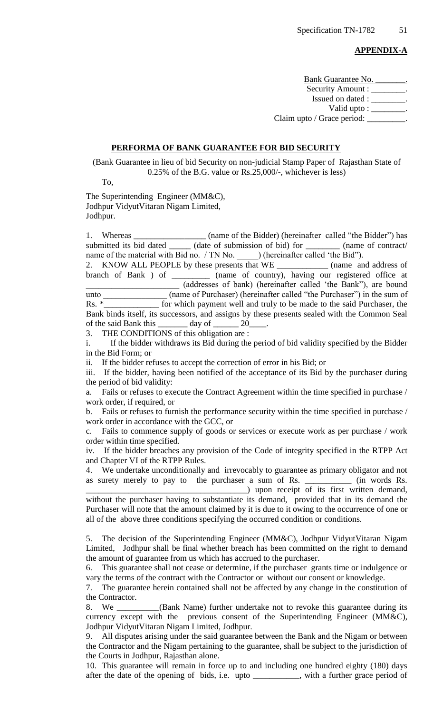#### **APPENDIX-A**

Bank Guarantee No. Security Amount : \_\_\_\_\_\_\_\_. Issued on dated : \_\_\_\_\_\_\_\_\_. Valid upto : \_\_\_\_\_\_\_\_. Claim upto / Grace period:

#### **PERFORMA OF BANK GUARANTEE FOR BID SECURITY**

(Bank Guarantee in lieu of bid Security on non-judicial Stamp Paper of Rajasthan State of 0.25% of the B.G. value or Rs.25,000/-, whichever is less)

To,

The Superintending Engineer (MM&C), Jodhpur VidyutVitaran Nigam Limited, Jodhpur.

1. Whereas \_\_\_\_\_\_\_\_\_\_\_\_\_\_\_\_\_\_\_ (name of the Bidder) (hereinafter called "the Bidder") has submitted its bid dated \_\_\_\_\_\_ (date of submission of bid) for \_\_\_\_\_\_\_\_\_ (name of contract/ name of the material with Bid no. / TN No. ) (hereinafter called 'the Bid").

2. KNOW ALL PEOPLE by these presents that WE \_\_\_\_\_\_\_\_\_\_\_\_ (name and address of branch of Bank ) of \_\_\_\_\_\_\_\_\_ (name of country), having our registered office at \_\_\_\_\_\_\_\_\_\_\_\_\_\_\_\_\_\_\_\_\_\_ (addresses of bank) (hereinafter called "the Bank"), are bound unto (name of Purchaser) (hereinafter called "the Purchaser") in the sum of Rs.  $*$  for which payment well and truly to be made to the said Purchaser, the Bank binds itself, its successors, and assigns by these presents sealed with the Common Seal of the said Bank this  $\_\_\_\_$  day of  $\_\_\_\_$  20

3. THE CONDITIONS of this obligation are :

i. If the bidder withdraws its Bid during the period of bid validity specified by the Bidder in the Bid Form; or

ii. If the bidder refuses to accept the correction of error in his Bid; or

iii. If the bidder, having been notified of the acceptance of its Bid by the purchaser during the period of bid validity:

a. Fails or refuses to execute the Contract Agreement within the time specified in purchase / work order, if required, or

b. Fails or refuses to furnish the performance security within the time specified in purchase / work order in accordance with the GCC, or

c. Fails to commence supply of goods or services or execute work as per purchase / work order within time specified.

iv. If the bidder breaches any provision of the Code of integrity specified in the RTPP Act and Chapter VI of the RTPP Rules.

4. We undertake unconditionally and irrevocably to guarantee as primary obligator and not as surety merely to pay to the purchaser a sum of Rs. \_\_\_\_\_\_\_\_\_\_\_ (in words Rs.

\_\_\_\_\_\_\_\_\_\_\_\_\_\_\_\_\_\_\_\_\_\_\_\_\_\_\_\_\_\_\_\_\_\_\_\_\_\_) upon receipt of its first written demand, without the purchaser having to substantiate its demand, provided that in its demand the Purchaser will note that the amount claimed by it is due to it owing to the occurrence of one or all of the above three conditions specifying the occurred condition or conditions.

5. The decision of the Superintending Engineer (MM&C), Jodhpur VidyutVitaran Nigam Limited, Jodhpur shall be final whether breach has been committed on the right to demand the amount of guarantee from us which has accrued to the purchaser.

6. This guarantee shall not cease or determine, if the purchaser grants time or indulgence or vary the terms of the contract with the Contractor or without our consent or knowledge.

7. The guarantee herein contained shall not be affected by any change in the constitution of the Contractor.

8. We \_\_\_\_\_\_\_\_\_\_(Bank Name) further undertake not to revoke this guarantee during its currency except with the previous consent of the Superintending Engineer (MM&C), Jodhpur VidyutVitaran Nigam Limited, Jodhpur.

9. All disputes arising under the said guarantee between the Bank and the Nigam or between the Contractor and the Nigam pertaining to the guarantee, shall be subject to the jurisdiction of the Courts in Jodhpur, Rajasthan alone.

10. This guarantee will remain in force up to and including one hundred eighty (180) days after the date of the opening of bids, i.e. upto \_\_\_\_\_\_\_\_\_\_\_, with a further grace period of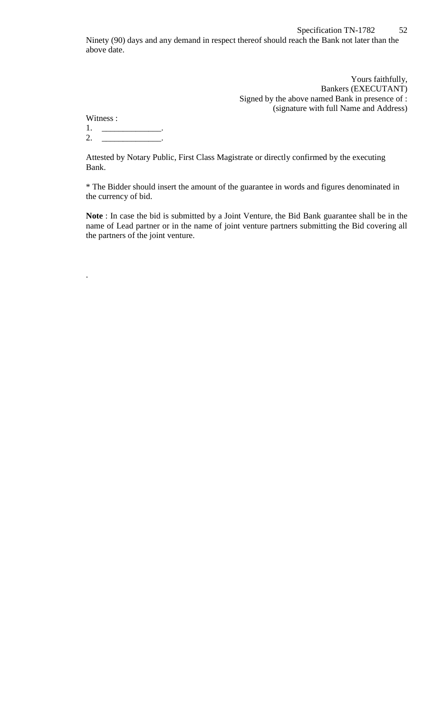Yours faithfully, Bankers (EXECUTANT) Signed by the above named Bank in presence of : (signature with full Name and Address)

Witness : 1. \_\_\_\_\_\_\_\_\_\_\_\_\_\_.

.

2. \_\_\_\_\_\_\_\_\_\_\_\_\_\_\_\_\_\_.

Attested by Notary Public, First Class Magistrate or directly confirmed by the executing Bank.

\* The Bidder should insert the amount of the guarantee in words and figures denominated in the currency of bid.

**Note** : In case the bid is submitted by a Joint Venture, the Bid Bank guarantee shall be in the name of Lead partner or in the name of joint venture partners submitting the Bid covering all the partners of the joint venture.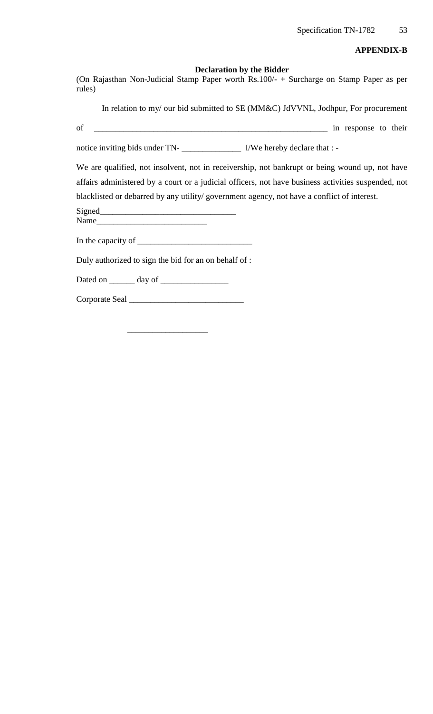#### **APPENDIX-B**

#### **Declaration by the Bidder**

(On Rajasthan Non-Judicial Stamp Paper worth Rs.100/- + Surcharge on Stamp Paper as per rules)

In relation to my/ our bid submitted to SE (MM&C) JdVVNL, Jodhpur, For procurement

of \_\_\_\_\_\_\_\_\_\_\_\_\_\_\_\_\_\_\_\_\_\_\_\_\_\_\_\_\_\_\_\_\_\_\_\_\_\_\_\_\_\_\_\_\_\_\_\_\_\_\_\_\_\_\_ in response to their

notice inviting bids under TN- I/We hereby declare that : -

We are qualified, not insolvent, not in receivership, not bankrupt or being wound up, not have affairs administered by a court or a judicial officers, not have business activities suspended, not blacklisted or debarred by any utility/ government agency, not have a conflict of interest.

Signed Name

In the capacity of \_\_\_\_\_\_\_\_\_\_\_\_\_\_\_\_\_\_\_\_\_\_\_\_\_\_\_

Duly authorized to sign the bid for an on behalf of :

Dated on \_\_\_\_\_\_ day of \_\_\_\_\_\_\_\_\_\_\_\_\_\_\_\_

Corporate Seal \_\_\_\_\_\_\_\_\_\_\_\_\_\_\_\_\_\_\_\_\_\_\_\_\_\_\_

**\_\_\_\_\_\_\_\_\_\_\_\_\_\_\_\_\_\_\_**